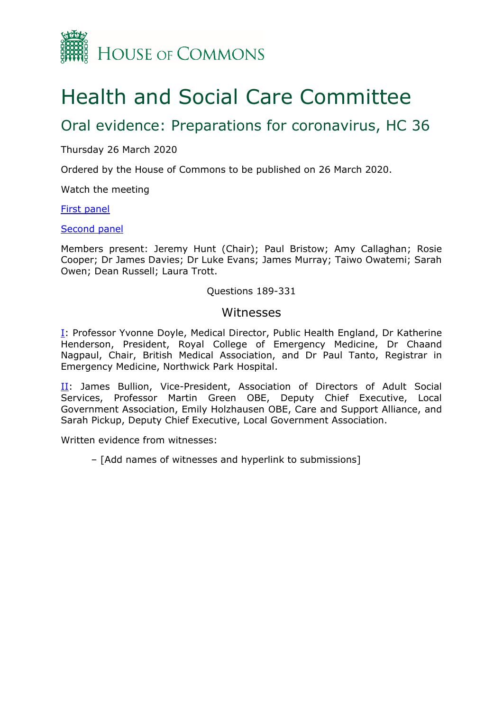

# Health and Social Care Committee

# Oral evidence: Preparations for coronavirus, HC 36

Thursday 26 March 2020

Ordered by the House of Commons to be published on 26 March 2020.

Watch the meeting

[First panel](https://parliamentlive.tv/Event/Index/e53dc487-dbed-408a-9686-539dc4f58420)

#### [Second panel](https://www.parliamentlive.tv/Event/Index/bbe513cc-8366-43be-99e5-7a0b721fcdfd)

Members present: Jeremy Hunt (Chair); Paul Bristow; Amy Callaghan; Rosie Cooper; Dr James Davies; Dr Luke Evans; James Murray; Taiwo Owatemi; Sarah Owen; Dean Russell; Laura Trott.

#### Questions 189-331

#### Witnesses

**I**: Professor Yvonne Doyle, Medical Director, Public Health England, Dr Katherine Henderson, President, Royal College of Emergency Medicine, Dr Chaand Nagpaul, Chair, British Medical Association, and Dr Paul Tanto, Registrar in Emergency Medicine, Northwick Park Hospital.

II: James Bullion, Vice-President, Association of Directors of Adult Social Services, Professor Martin Green OBE, Deputy Chief Executive, Local Government Association, Emily Holzhausen OBE, Care and Support Alliance, and Sarah Pickup, Deputy Chief Executive, Local Government Association.

Written evidence from witnesses:

– [Add names of witnesses and hyperlink to submissions]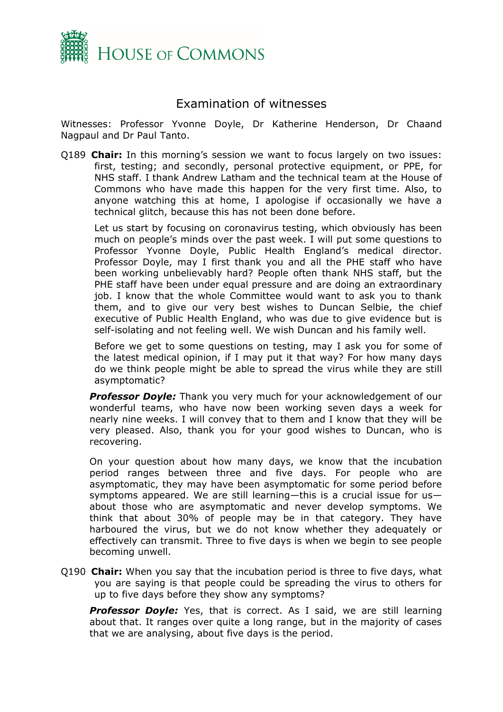

## Examination of witnesses

<span id="page-1-0"></span>Witnesses: Professor Yvonne Doyle, Dr Katherine Henderson, Dr Chaand Nagpaul and Dr Paul Tanto.

Q189 **Chair:** In this morning's session we want to focus largely on two issues: first, testing; and secondly, personal protective equipment, or PPE, for NHS staff. I thank Andrew Latham and the technical team at the House of Commons who have made this happen for the very first time. Also, to anyone watching this at home, I apologise if occasionally we have a technical glitch, because this has not been done before.

Let us start by focusing on coronavirus testing, which obviously has been much on people's minds over the past week. I will put some questions to Professor Yvonne Doyle, Public Health England's medical director. Professor Doyle, may I first thank you and all the PHE staff who have been working unbelievably hard? People often thank NHS staff, but the PHE staff have been under equal pressure and are doing an extraordinary job. I know that the whole Committee would want to ask you to thank them, and to give our very best wishes to Duncan Selbie, the chief executive of Public Health England, who was due to give evidence but is self-isolating and not feeling well. We wish Duncan and his family well.

Before we get to some questions on testing, may I ask you for some of the latest medical opinion, if I may put it that way? For how many days do we think people might be able to spread the virus while they are still asymptomatic?

**Professor Doyle:** Thank you very much for your acknowledgement of our wonderful teams, who have now been working seven days a week for nearly nine weeks. I will convey that to them and I know that they will be very pleased. Also, thank you for your good wishes to Duncan, who is recovering.

On your question about how many days, we know that the incubation period ranges between three and five days. For people who are asymptomatic, they may have been asymptomatic for some period before symptoms appeared. We are still learning—this is a crucial issue for us about those who are asymptomatic and never develop symptoms. We think that about 30% of people may be in that category. They have harboured the virus, but we do not know whether they adequately or effectively can transmit. Three to five days is when we begin to see people becoming unwell.

Q190 **Chair:** When you say that the incubation period is three to five days, what you are saying is that people could be spreading the virus to others for up to five days before they show any symptoms?

**Professor Doyle:** Yes, that is correct. As I said, we are still learning about that. It ranges over quite a long range, but in the majority of cases that we are analysing, about five days is the period.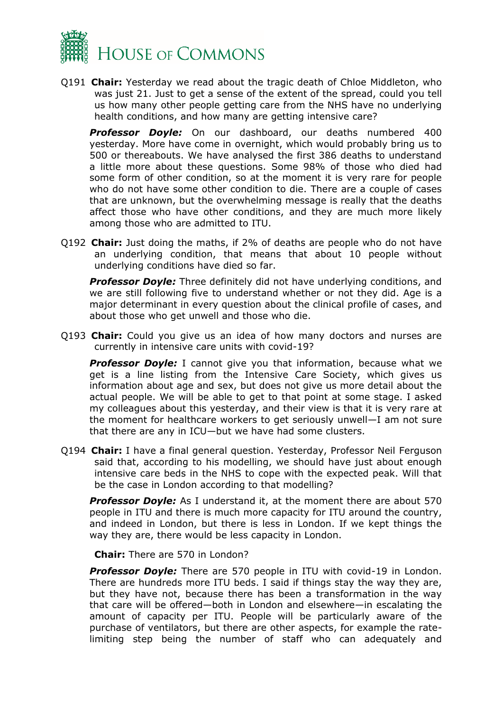

Q191 **Chair:** Yesterday we read about the tragic death of Chloe Middleton, who was just 21. Just to get a sense of the extent of the spread, could you tell us how many other people getting care from the NHS have no underlying health conditions, and how many are getting intensive care?

*Professor Doyle:* On our dashboard, our deaths numbered 400 yesterday. More have come in overnight, which would probably bring us to 500 or thereabouts. We have analysed the first 386 deaths to understand a little more about these questions. Some 98% of those who died had some form of other condition, so at the moment it is very rare for people who do not have some other condition to die. There are a couple of cases that are unknown, but the overwhelming message is really that the deaths affect those who have other conditions, and they are much more likely among those who are admitted to ITU.

Q192 **Chair:** Just doing the maths, if 2% of deaths are people who do not have an underlying condition, that means that about 10 people without underlying conditions have died so far.

*Professor Doyle:* Three definitely did not have underlying conditions, and we are still following five to understand whether or not they did. Age is a major determinant in every question about the clinical profile of cases, and about those who get unwell and those who die.

Q193 **Chair:** Could you give us an idea of how many doctors and nurses are currently in intensive care units with covid-19?

**Professor Doyle:** I cannot give you that information, because what we get is a line listing from the Intensive Care Society, which gives us information about age and sex, but does not give us more detail about the actual people. We will be able to get to that point at some stage. I asked my colleagues about this yesterday, and their view is that it is very rare at the moment for healthcare workers to get seriously unwell—I am not sure that there are any in ICU—but we have had some clusters.

Q194 **Chair:** I have a final general question. Yesterday, Professor Neil Ferguson said that, according to his modelling, we should have just about enough intensive care beds in the NHS to cope with the expected peak. Will that be the case in London according to that modelling?

*Professor Doyle:* As I understand it, at the moment there are about 570 people in ITU and there is much more capacity for ITU around the country, and indeed in London, but there is less in London. If we kept things the way they are, there would be less capacity in London.

**Chair:** There are 570 in London?

*Professor Doyle:* There are 570 people in ITU with covid-19 in London. There are hundreds more ITU beds. I said if things stay the way they are, but they have not, because there has been a transformation in the way that care will be offered—both in London and elsewhere—in escalating the amount of capacity per ITU. People will be particularly aware of the purchase of ventilators, but there are other aspects, for example the ratelimiting step being the number of staff who can adequately and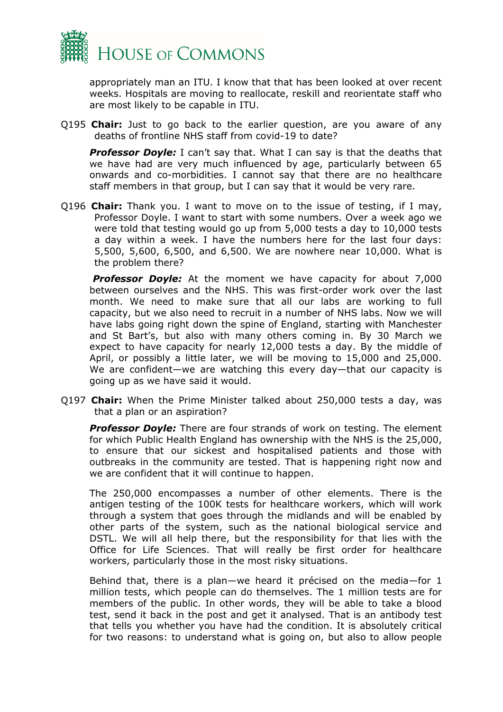

appropriately man an ITU. I know that that has been looked at over recent weeks. Hospitals are moving to reallocate, reskill and reorientate staff who are most likely to be capable in ITU.

Q195 **Chair:** Just to go back to the earlier question, are you aware of any deaths of frontline NHS staff from covid-19 to date?

**Professor Doyle:** I can't say that. What I can say is that the deaths that we have had are very much influenced by age, particularly between 65 onwards and co-morbidities. I cannot say that there are no healthcare staff members in that group, but I can say that it would be very rare.

Q196 **Chair:** Thank you. I want to move on to the issue of testing, if I may, Professor Doyle. I want to start with some numbers. Over a week ago we were told that testing would go up from 5,000 tests a day to 10,000 tests a day within a week. I have the numbers here for the last four days: 5,500, 5,600, 6,500, and 6,500. We are nowhere near 10,000. What is the problem there?

**Professor Doyle:** At the moment we have capacity for about 7,000 between ourselves and the NHS. This was first-order work over the last month. We need to make sure that all our labs are working to full capacity, but we also need to recruit in a number of NHS labs. Now we will have labs going right down the spine of England, starting with Manchester and St Bart's, but also with many others coming in. By 30 March we expect to have capacity for nearly 12,000 tests a day. By the middle of April, or possibly a little later, we will be moving to 15,000 and 25,000. We are confident—we are watching this every day—that our capacity is going up as we have said it would.

Q197 **Chair:** When the Prime Minister talked about 250,000 tests a day, was that a plan or an aspiration?

*Professor Doyle:* There are four strands of work on testing. The element for which Public Health England has ownership with the NHS is the 25,000, to ensure that our sickest and hospitalised patients and those with outbreaks in the community are tested. That is happening right now and we are confident that it will continue to happen.

The 250,000 encompasses a number of other elements. There is the antigen testing of the 100K tests for healthcare workers, which will work through a system that goes through the midlands and will be enabled by other parts of the system, such as the national biological service and DSTL. We will all help there, but the responsibility for that lies with the Office for Life Sciences. That will really be first order for healthcare workers, particularly those in the most risky situations.

Behind that, there is a plan—we heard it précised on the media—for 1 million tests, which people can do themselves. The 1 million tests are for members of the public. In other words, they will be able to take a blood test, send it back in the post and get it analysed. That is an antibody test that tells you whether you have had the condition. It is absolutely critical for two reasons: to understand what is going on, but also to allow people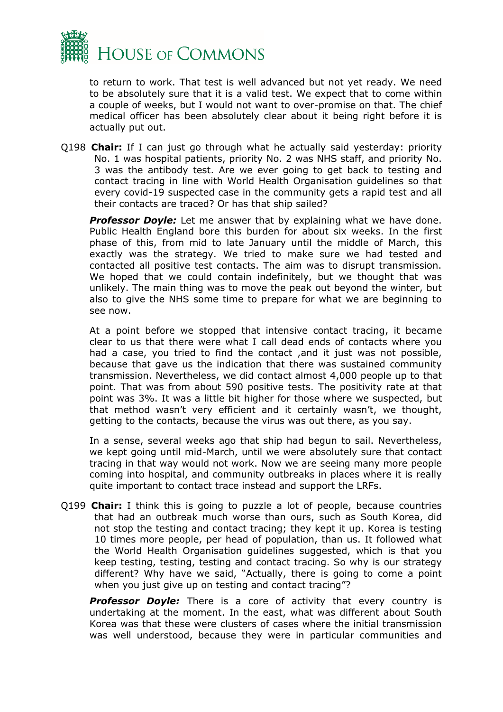

to return to work. That test is well advanced but not yet ready. We need to be absolutely sure that it is a valid test. We expect that to come within a couple of weeks, but I would not want to over-promise on that. The chief medical officer has been absolutely clear about it being right before it is actually put out.

Q198 **Chair:** If I can just go through what he actually said yesterday: priority No. 1 was hospital patients, priority No. 2 was NHS staff, and priority No. 3 was the antibody test. Are we ever going to get back to testing and contact tracing in line with World Health Organisation guidelines so that every covid-19 suspected case in the community gets a rapid test and all their contacts are traced? Or has that ship sailed?

*Professor Doyle:* Let me answer that by explaining what we have done. Public Health England bore this burden for about six weeks. In the first phase of this, from mid to late January until the middle of March, this exactly was the strategy. We tried to make sure we had tested and contacted all positive test contacts. The aim was to disrupt transmission. We hoped that we could contain indefinitely, but we thought that was unlikely. The main thing was to move the peak out beyond the winter, but also to give the NHS some time to prepare for what we are beginning to see now.

At a point before we stopped that intensive contact tracing, it became clear to us that there were what I call dead ends of contacts where you had a case, you tried to find the contact, and it just was not possible, because that gave us the indication that there was sustained community transmission. Nevertheless, we did contact almost 4,000 people up to that point. That was from about 590 positive tests. The positivity rate at that point was 3%. It was a little bit higher for those where we suspected, but that method wasn't very efficient and it certainly wasn't, we thought, getting to the contacts, because the virus was out there, as you say.

In a sense, several weeks ago that ship had begun to sail. Nevertheless, we kept going until mid-March, until we were absolutely sure that contact tracing in that way would not work. Now we are seeing many more people coming into hospital, and community outbreaks in places where it is really quite important to contact trace instead and support the LRFs.

Q199 **Chair:** I think this is going to puzzle a lot of people, because countries that had an outbreak much worse than ours, such as South Korea, did not stop the testing and contact tracing; they kept it up. Korea is testing 10 times more people, per head of population, than us. It followed what the World Health Organisation guidelines suggested, which is that you keep testing, testing, testing and contact tracing. So why is our strategy different? Why have we said, "Actually, there is going to come a point when you just give up on testing and contact tracing"?

**Professor Doyle:** There is a core of activity that every country is undertaking at the moment. In the east, what was different about South Korea was that these were clusters of cases where the initial transmission was well understood, because they were in particular communities and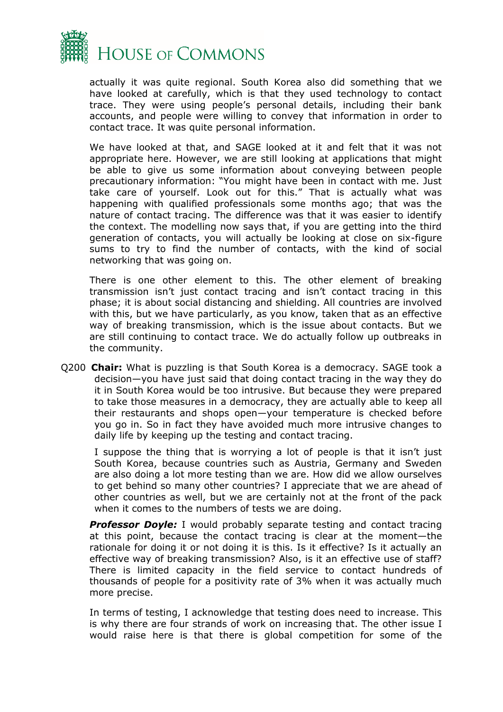

actually it was quite regional. South Korea also did something that we have looked at carefully, which is that they used technology to contact trace. They were using people's personal details, including their bank accounts, and people were willing to convey that information in order to contact trace. It was quite personal information.

We have looked at that, and SAGE looked at it and felt that it was not appropriate here. However, we are still looking at applications that might be able to give us some information about conveying between people precautionary information: "You might have been in contact with me. Just take care of yourself. Look out for this." That is actually what was happening with qualified professionals some months ago; that was the nature of contact tracing. The difference was that it was easier to identify the context. The modelling now says that, if you are getting into the third generation of contacts, you will actually be looking at close on six-figure sums to try to find the number of contacts, with the kind of social networking that was going on.

There is one other element to this. The other element of breaking transmission isn't just contact tracing and isn't contact tracing in this phase; it is about social distancing and shielding. All countries are involved with this, but we have particularly, as you know, taken that as an effective way of breaking transmission, which is the issue about contacts. But we are still continuing to contact trace. We do actually follow up outbreaks in the community.

Q200 **Chair:** What is puzzling is that South Korea is a democracy. SAGE took a decision—you have just said that doing contact tracing in the way they do it in South Korea would be too intrusive. But because they were prepared to take those measures in a democracy, they are actually able to keep all their restaurants and shops open—your temperature is checked before you go in. So in fact they have avoided much more intrusive changes to daily life by keeping up the testing and contact tracing.

I suppose the thing that is worrying a lot of people is that it isn't just South Korea, because countries such as Austria, Germany and Sweden are also doing a lot more testing than we are. How did we allow ourselves to get behind so many other countries? I appreciate that we are ahead of other countries as well, but we are certainly not at the front of the pack when it comes to the numbers of tests we are doing.

**Professor Doyle:** I would probably separate testing and contact tracing at this point, because the contact tracing is clear at the moment—the rationale for doing it or not doing it is this. Is it effective? Is it actually an effective way of breaking transmission? Also, is it an effective use of staff? There is limited capacity in the field service to contact hundreds of thousands of people for a positivity rate of 3% when it was actually much more precise.

In terms of testing, I acknowledge that testing does need to increase. This is why there are four strands of work on increasing that. The other issue I would raise here is that there is global competition for some of the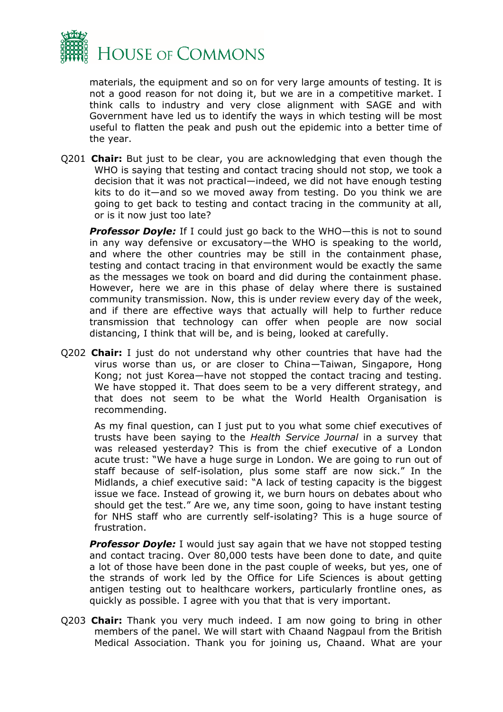

materials, the equipment and so on for very large amounts of testing. It is not a good reason for not doing it, but we are in a competitive market. I think calls to industry and very close alignment with SAGE and with Government have led us to identify the ways in which testing will be most useful to flatten the peak and push out the epidemic into a better time of the year.

Q201 **Chair:** But just to be clear, you are acknowledging that even though the WHO is saying that testing and contact tracing should not stop, we took a decision that it was not practical—indeed, we did not have enough testing kits to do it—and so we moved away from testing. Do you think we are going to get back to testing and contact tracing in the community at all, or is it now just too late?

*Professor Doyle:* If I could just go back to the WHO—this is not to sound in any way defensive or excusatory—the WHO is speaking to the world, and where the other countries may be still in the containment phase, testing and contact tracing in that environment would be exactly the same as the messages we took on board and did during the containment phase. However, here we are in this phase of delay where there is sustained community transmission. Now, this is under review every day of the week, and if there are effective ways that actually will help to further reduce transmission that technology can offer when people are now social distancing, I think that will be, and is being, looked at carefully.

Q202 **Chair:** I just do not understand why other countries that have had the virus worse than us, or are closer to China—Taiwan, Singapore, Hong Kong; not just Korea—have not stopped the contact tracing and testing. We have stopped it. That does seem to be a very different strategy, and that does not seem to be what the World Health Organisation is recommending.

As my final question, can I just put to you what some chief executives of trusts have been saying to the *Health Service Journal* in a survey that was released yesterday? This is from the chief executive of a London acute trust: "We have a huge surge in London. We are going to run out of staff because of self-isolation, plus some staff are now sick." In the Midlands, a chief executive said: "A lack of testing capacity is the biggest issue we face. Instead of growing it, we burn hours on debates about who should get the test." Are we, any time soon, going to have instant testing for NHS staff who are currently self-isolating? This is a huge source of frustration.

**Professor Doyle:** I would just say again that we have not stopped testing and contact tracing. Over 80,000 tests have been done to date, and quite a lot of those have been done in the past couple of weeks, but yes, one of the strands of work led by the Office for Life Sciences is about getting antigen testing out to healthcare workers, particularly frontline ones, as quickly as possible. I agree with you that that is very important.

Q203 **Chair:** Thank you very much indeed. I am now going to bring in other members of the panel. We will start with Chaand Nagpaul from the British Medical Association. Thank you for joining us, Chaand. What are your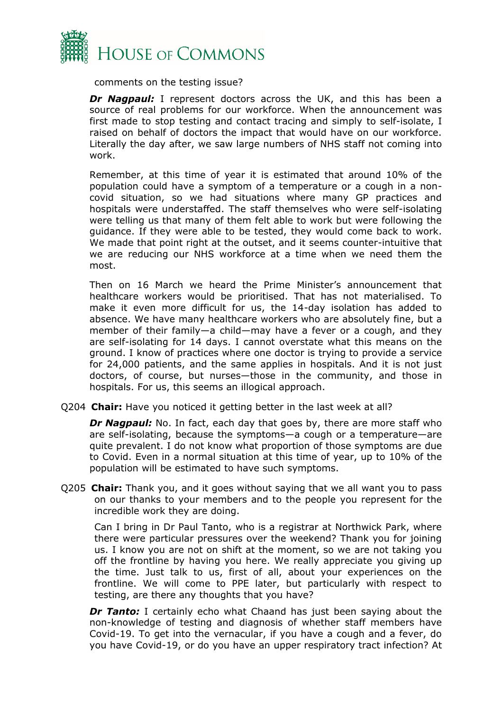

comments on the testing issue?

*Dr Nagpaul:* I represent doctors across the UK, and this has been a source of real problems for our workforce. When the announcement was first made to stop testing and contact tracing and simply to self-isolate, I raised on behalf of doctors the impact that would have on our workforce. Literally the day after, we saw large numbers of NHS staff not coming into work.

Remember, at this time of year it is estimated that around 10% of the population could have a symptom of a temperature or a cough in a noncovid situation, so we had situations where many GP practices and hospitals were understaffed. The staff themselves who were self-isolating were telling us that many of them felt able to work but were following the guidance. If they were able to be tested, they would come back to work. We made that point right at the outset, and it seems counter-intuitive that we are reducing our NHS workforce at a time when we need them the most.

Then on 16 March we heard the Prime Minister's announcement that healthcare workers would be prioritised. That has not materialised. To make it even more difficult for us, the 14-day isolation has added to absence. We have many healthcare workers who are absolutely fine, but a member of their family—a child—may have a fever or a cough, and they are self-isolating for 14 days. I cannot overstate what this means on the ground. I know of practices where one doctor is trying to provide a service for 24,000 patients, and the same applies in hospitals. And it is not just doctors, of course, but nurses—those in the community, and those in hospitals. For us, this seems an illogical approach.

Q204 **Chair:** Have you noticed it getting better in the last week at all?

**Dr Nagpaul:** No. In fact, each day that goes by, there are more staff who are self-isolating, because the symptoms—a cough or a temperature—are quite prevalent. I do not know what proportion of those symptoms are due to Covid. Even in a normal situation at this time of year, up to 10% of the population will be estimated to have such symptoms.

Q205 **Chair:** Thank you, and it goes without saying that we all want you to pass on our thanks to your members and to the people you represent for the incredible work they are doing.

Can I bring in Dr Paul Tanto, who is a registrar at Northwick Park, where there were particular pressures over the weekend? Thank you for joining us. I know you are not on shift at the moment, so we are not taking you off the frontline by having you here. We really appreciate you giving up the time. Just talk to us, first of all, about your experiences on the frontline. We will come to PPE later, but particularly with respect to testing, are there any thoughts that you have?

**Dr Tanto:** I certainly echo what Chaand has just been saying about the non-knowledge of testing and diagnosis of whether staff members have Covid-19. To get into the vernacular, if you have a cough and a fever, do you have Covid-19, or do you have an upper respiratory tract infection? At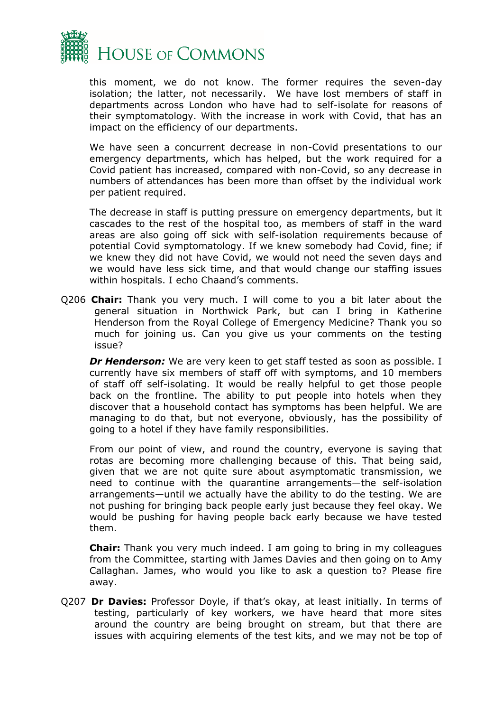

this moment, we do not know. The former requires the seven-day isolation; the latter, not necessarily. We have lost members of staff in departments across London who have had to self-isolate for reasons of their symptomatology. With the increase in work with Covid, that has an impact on the efficiency of our departments.

We have seen a concurrent decrease in non-Covid presentations to our emergency departments, which has helped, but the work required for a Covid patient has increased, compared with non-Covid, so any decrease in numbers of attendances has been more than offset by the individual work per patient required.

The decrease in staff is putting pressure on emergency departments, but it cascades to the rest of the hospital too, as members of staff in the ward areas are also going off sick with self-isolation requirements because of potential Covid symptomatology. If we knew somebody had Covid, fine; if we knew they did not have Covid, we would not need the seven days and we would have less sick time, and that would change our staffing issues within hospitals. I echo Chaand's comments.

Q206 **Chair:** Thank you very much. I will come to you a bit later about the general situation in Northwick Park, but can I bring in Katherine Henderson from the Royal College of Emergency Medicine? Thank you so much for joining us. Can you give us your comments on the testing issue?

**Dr Henderson:** We are very keen to get staff tested as soon as possible. I currently have six members of staff off with symptoms, and 10 members of staff off self-isolating. It would be really helpful to get those people back on the frontline. The ability to put people into hotels when they discover that a household contact has symptoms has been helpful. We are managing to do that, but not everyone, obviously, has the possibility of going to a hotel if they have family responsibilities.

From our point of view, and round the country, everyone is saying that rotas are becoming more challenging because of this. That being said, given that we are not quite sure about asymptomatic transmission, we need to continue with the quarantine arrangements—the self-isolation arrangements—until we actually have the ability to do the testing. We are not pushing for bringing back people early just because they feel okay. We would be pushing for having people back early because we have tested them.

**Chair:** Thank you very much indeed. I am going to bring in my colleagues from the Committee, starting with James Davies and then going on to Amy Callaghan. James, who would you like to ask a question to? Please fire away.

Q207 **Dr Davies:** Professor Doyle, if that's okay, at least initially. In terms of testing, particularly of key workers, we have heard that more sites around the country are being brought on stream, but that there are issues with acquiring elements of the test kits, and we may not be top of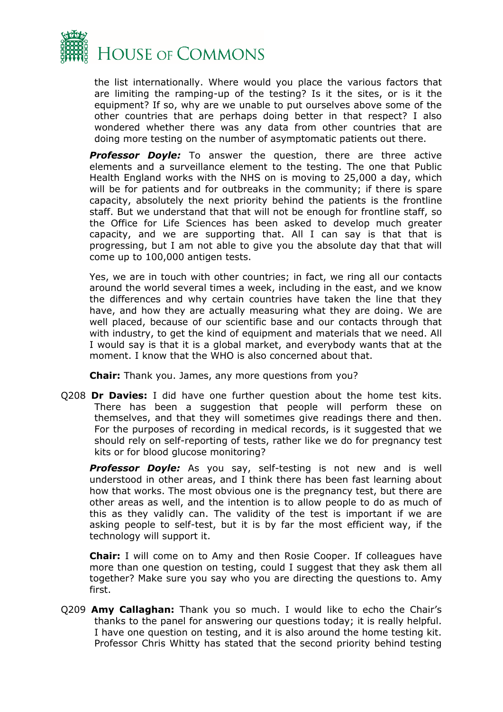

the list internationally. Where would you place the various factors that are limiting the ramping-up of the testing? Is it the sites, or is it the equipment? If so, why are we unable to put ourselves above some of the other countries that are perhaps doing better in that respect? I also wondered whether there was any data from other countries that are doing more testing on the number of asymptomatic patients out there.

**Professor Doyle:** To answer the question, there are three active elements and a surveillance element to the testing. The one that Public Health England works with the NHS on is moving to 25,000 a day, which will be for patients and for outbreaks in the community; if there is spare capacity, absolutely the next priority behind the patients is the frontline staff. But we understand that that will not be enough for frontline staff, so the Office for Life Sciences has been asked to develop much greater capacity, and we are supporting that. All I can say is that that is progressing, but I am not able to give you the absolute day that that will come up to 100,000 antigen tests.

Yes, we are in touch with other countries; in fact, we ring all our contacts around the world several times a week, including in the east, and we know the differences and why certain countries have taken the line that they have, and how they are actually measuring what they are doing. We are well placed, because of our scientific base and our contacts through that with industry, to get the kind of equipment and materials that we need. All I would say is that it is a global market, and everybody wants that at the moment. I know that the WHO is also concerned about that.

**Chair:** Thank you. James, any more questions from you?

Q208 **Dr Davies:** I did have one further question about the home test kits. There has been a suggestion that people will perform these on themselves, and that they will sometimes give readings there and then. For the purposes of recording in medical records, is it suggested that we should rely on self-reporting of tests, rather like we do for pregnancy test kits or for blood glucose monitoring?

*Professor Doyle:* As you say, self-testing is not new and is well understood in other areas, and I think there has been fast learning about how that works. The most obvious one is the pregnancy test, but there are other areas as well, and the intention is to allow people to do as much of this as they validly can. The validity of the test is important if we are asking people to self-test, but it is by far the most efficient way, if the technology will support it.

**Chair:** I will come on to Amy and then Rosie Cooper. If colleagues have more than one question on testing, could I suggest that they ask them all together? Make sure you say who you are directing the questions to. Amy first.

Q209 **Amy Callaghan:** Thank you so much. I would like to echo the Chair's thanks to the panel for answering our questions today; it is really helpful. I have one question on testing, and it is also around the home testing kit. Professor Chris Whitty has stated that the second priority behind testing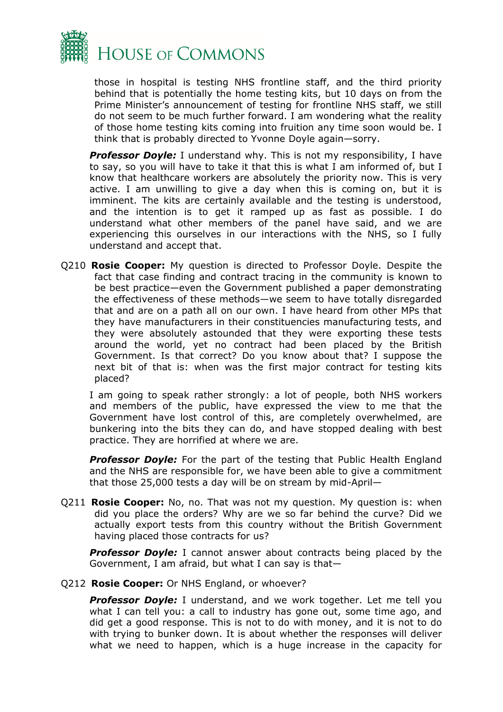

those in hospital is testing NHS frontline staff, and the third priority behind that is potentially the home testing kits, but 10 days on from the Prime Minister's announcement of testing for frontline NHS staff, we still do not seem to be much further forward. I am wondering what the reality of those home testing kits coming into fruition any time soon would be. I think that is probably directed to Yvonne Doyle again—sorry.

**Professor Doyle:** I understand why. This is not my responsibility, I have to say, so you will have to take it that this is what I am informed of, but I know that healthcare workers are absolutely the priority now. This is very active. I am unwilling to give a day when this is coming on, but it is imminent. The kits are certainly available and the testing is understood, and the intention is to get it ramped up as fast as possible. I do understand what other members of the panel have said, and we are experiencing this ourselves in our interactions with the NHS, so I fully understand and accept that.

Q210 **Rosie Cooper:** My question is directed to Professor Doyle. Despite the fact that case finding and contract tracing in the community is known to be best practice—even the Government published a paper demonstrating the effectiveness of these methods—we seem to have totally disregarded that and are on a path all on our own. I have heard from other MPs that they have manufacturers in their constituencies manufacturing tests, and they were absolutely astounded that they were exporting these tests around the world, yet no contract had been placed by the British Government. Is that correct? Do you know about that? I suppose the next bit of that is: when was the first major contract for testing kits placed?

I am going to speak rather strongly: a lot of people, both NHS workers and members of the public, have expressed the view to me that the Government have lost control of this, are completely overwhelmed, are bunkering into the bits they can do, and have stopped dealing with best practice. They are horrified at where we are.

*Professor Doyle:* For the part of the testing that Public Health England and the NHS are responsible for, we have been able to give a commitment that those 25,000 tests a day will be on stream by mid-April—

Q211 **Rosie Cooper:** No, no. That was not my question. My question is: when did you place the orders? Why are we so far behind the curve? Did we actually export tests from this country without the British Government having placed those contracts for us?

*Professor Doyle:* I cannot answer about contracts being placed by the Government, I am afraid, but what I can say is that—

Q212 **Rosie Cooper:** Or NHS England, or whoever?

*Professor Doyle:* I understand, and we work together. Let me tell you what I can tell you: a call to industry has gone out, some time ago, and did get a good response. This is not to do with money, and it is not to do with trying to bunker down. It is about whether the responses will deliver what we need to happen, which is a huge increase in the capacity for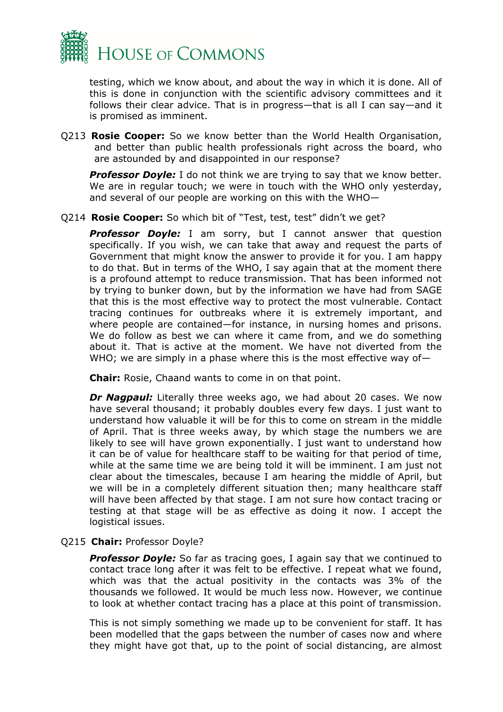

testing, which we know about, and about the way in which it is done. All of this is done in conjunction with the scientific advisory committees and it follows their clear advice. That is in progress—that is all I can say—and it is promised as imminent.

Q213 **Rosie Cooper:** So we know better than the World Health Organisation, and better than public health professionals right across the board, who are astounded by and disappointed in our response?

**Professor Doyle:** I do not think we are trying to say that we know better. We are in regular touch; we were in touch with the WHO only yesterday, and several of our people are working on this with the WHO—

Q214 **Rosie Cooper:** So which bit of "Test, test, test" didn't we get?

**Professor Doyle:** I am sorry, but I cannot answer that question specifically. If you wish, we can take that away and request the parts of Government that might know the answer to provide it for you. I am happy to do that. But in terms of the WHO, I say again that at the moment there is a profound attempt to reduce transmission. That has been informed not by trying to bunker down, but by the information we have had from SAGE that this is the most effective way to protect the most vulnerable. Contact tracing continues for outbreaks where it is extremely important, and where people are contained—for instance, in nursing homes and prisons. We do follow as best we can where it came from, and we do something about it. That is active at the moment. We have not diverted from the WHO; we are simply in a phase where this is the most effective way of-

**Chair:** Rosie, Chaand wants to come in on that point.

*Dr Nagpaul:* Literally three weeks ago, we had about 20 cases. We now have several thousand; it probably doubles every few days. I just want to understand how valuable it will be for this to come on stream in the middle of April. That is three weeks away, by which stage the numbers we are likely to see will have grown exponentially. I just want to understand how it can be of value for healthcare staff to be waiting for that period of time, while at the same time we are being told it will be imminent. I am just not clear about the timescales, because I am hearing the middle of April, but we will be in a completely different situation then; many healthcare staff will have been affected by that stage. I am not sure how contact tracing or testing at that stage will be as effective as doing it now. I accept the logistical issues.

#### Q215 **Chair:** Professor Doyle?

**Professor Doyle:** So far as tracing goes, I again say that we continued to contact trace long after it was felt to be effective. I repeat what we found, which was that the actual positivity in the contacts was 3% of the thousands we followed. It would be much less now. However, we continue to look at whether contact tracing has a place at this point of transmission.

This is not simply something we made up to be convenient for staff. It has been modelled that the gaps between the number of cases now and where they might have got that, up to the point of social distancing, are almost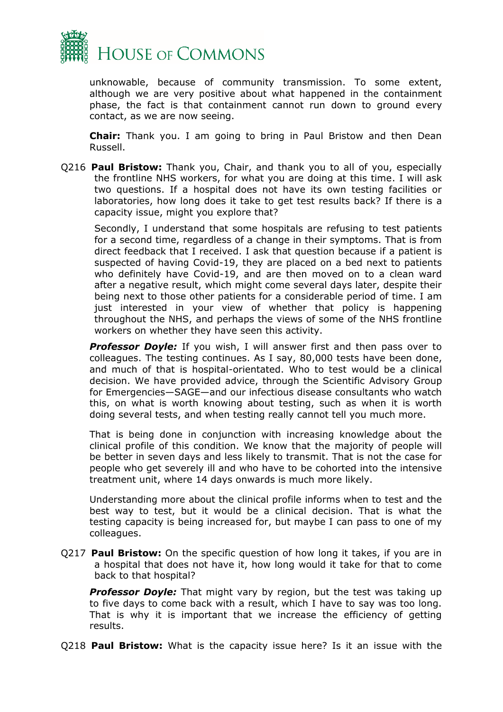

unknowable, because of community transmission. To some extent, although we are very positive about what happened in the containment phase, the fact is that containment cannot run down to ground every contact, as we are now seeing.

**Chair:** Thank you. I am going to bring in Paul Bristow and then Dean Russell.

Q216 **Paul Bristow:** Thank you, Chair, and thank you to all of you, especially the frontline NHS workers, for what you are doing at this time. I will ask two questions. If a hospital does not have its own testing facilities or laboratories, how long does it take to get test results back? If there is a capacity issue, might you explore that?

Secondly, I understand that some hospitals are refusing to test patients for a second time, regardless of a change in their symptoms. That is from direct feedback that I received. I ask that question because if a patient is suspected of having Covid-19, they are placed on a bed next to patients who definitely have Covid-19, and are then moved on to a clean ward after a negative result, which might come several days later, despite their being next to those other patients for a considerable period of time. I am just interested in your view of whether that policy is happening throughout the NHS, and perhaps the views of some of the NHS frontline workers on whether they have seen this activity.

**Professor Doyle:** If you wish, I will answer first and then pass over to colleagues. The testing continues. As I say, 80,000 tests have been done, and much of that is hospital-orientated. Who to test would be a clinical decision. We have provided advice, through the Scientific Advisory Group for Emergencies—SAGE—and our infectious disease consultants who watch this, on what is worth knowing about testing, such as when it is worth doing several tests, and when testing really cannot tell you much more.

That is being done in conjunction with increasing knowledge about the clinical profile of this condition. We know that the majority of people will be better in seven days and less likely to transmit. That is not the case for people who get severely ill and who have to be cohorted into the intensive treatment unit, where 14 days onwards is much more likely.

Understanding more about the clinical profile informs when to test and the best way to test, but it would be a clinical decision. That is what the testing capacity is being increased for, but maybe I can pass to one of my colleagues.

Q217 **Paul Bristow:** On the specific question of how long it takes, if you are in a hospital that does not have it, how long would it take for that to come back to that hospital?

*Professor Doyle:* That might vary by region, but the test was taking up to five days to come back with a result, which I have to say was too long. That is why it is important that we increase the efficiency of getting results.

Q218 **Paul Bristow:** What is the capacity issue here? Is it an issue with the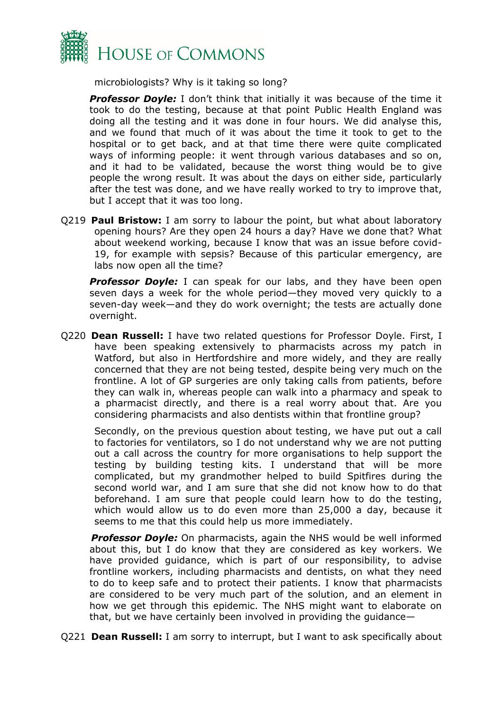

microbiologists? Why is it taking so long?

**Professor Doyle:** I don't think that initially it was because of the time it took to do the testing, because at that point Public Health England was doing all the testing and it was done in four hours. We did analyse this, and we found that much of it was about the time it took to get to the hospital or to get back, and at that time there were quite complicated ways of informing people: it went through various databases and so on, and it had to be validated, because the worst thing would be to give people the wrong result. It was about the days on either side, particularly after the test was done, and we have really worked to try to improve that, but I accept that it was too long.

Q219 **Paul Bristow:** I am sorry to labour the point, but what about laboratory opening hours? Are they open 24 hours a day? Have we done that? What about weekend working, because I know that was an issue before covid-19, for example with sepsis? Because of this particular emergency, are labs now open all the time?

**Professor Doyle:** I can speak for our labs, and they have been open seven days a week for the whole period—they moved very quickly to a seven-day week—and they do work overnight; the tests are actually done overnight.

Q220 **Dean Russell:** I have two related questions for Professor Doyle. First, I have been speaking extensively to pharmacists across my patch in Watford, but also in Hertfordshire and more widely, and they are really concerned that they are not being tested, despite being very much on the frontline. A lot of GP surgeries are only taking calls from patients, before they can walk in, whereas people can walk into a pharmacy and speak to a pharmacist directly, and there is a real worry about that. Are you considering pharmacists and also dentists within that frontline group?

Secondly, on the previous question about testing, we have put out a call to factories for ventilators, so I do not understand why we are not putting out a call across the country for more organisations to help support the testing by building testing kits. I understand that will be more complicated, but my grandmother helped to build Spitfires during the second world war, and I am sure that she did not know how to do that beforehand. I am sure that people could learn how to do the testing, which would allow us to do even more than 25,000 a day, because it seems to me that this could help us more immediately.

**Professor Doyle:** On pharmacists, again the NHS would be well informed about this, but I do know that they are considered as key workers. We have provided guidance, which is part of our responsibility, to advise frontline workers, including pharmacists and dentists, on what they need to do to keep safe and to protect their patients. I know that pharmacists are considered to be very much part of the solution, and an element in how we get through this epidemic. The NHS might want to elaborate on that, but we have certainly been involved in providing the guidance—

Q221 **Dean Russell:** I am sorry to interrupt, but I want to ask specifically about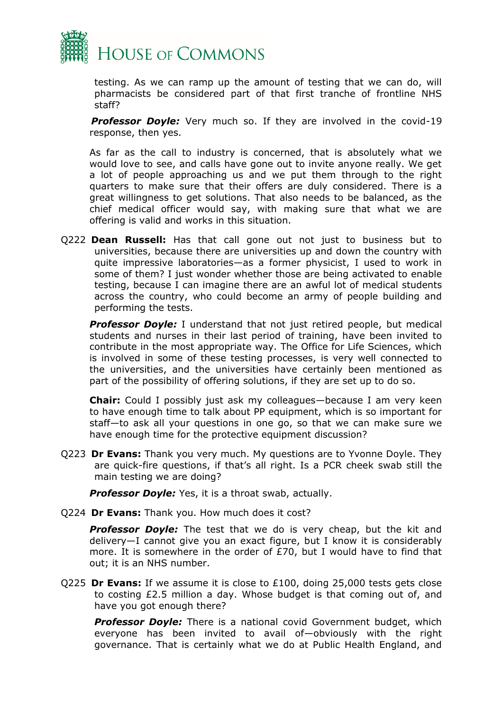

testing. As we can ramp up the amount of testing that we can do, will pharmacists be considered part of that first tranche of frontline NHS staff?

**Professor Doyle:** Very much so. If they are involved in the covid-19 response, then yes.

As far as the call to industry is concerned, that is absolutely what we would love to see, and calls have gone out to invite anyone really. We get a lot of people approaching us and we put them through to the right quarters to make sure that their offers are duly considered. There is a great willingness to get solutions. That also needs to be balanced, as the chief medical officer would say, with making sure that what we are offering is valid and works in this situation.

Q222 **Dean Russell:** Has that call gone out not just to business but to universities, because there are universities up and down the country with quite impressive laboratories—as a former physicist, I used to work in some of them? I just wonder whether those are being activated to enable testing, because I can imagine there are an awful lot of medical students across the country, who could become an army of people building and performing the tests.

**Professor Doyle:** I understand that not just retired people, but medical students and nurses in their last period of training, have been invited to contribute in the most appropriate way. The Office for Life Sciences, which is involved in some of these testing processes, is very well connected to the universities, and the universities have certainly been mentioned as part of the possibility of offering solutions, if they are set up to do so.

**Chair:** Could I possibly just ask my colleagues—because I am very keen to have enough time to talk about PP equipment, which is so important for staff—to ask all your questions in one go, so that we can make sure we have enough time for the protective equipment discussion?

Q223 **Dr Evans:** Thank you very much. My questions are to Yvonne Doyle. They are quick-fire questions, if that's all right. Is a PCR cheek swab still the main testing we are doing?

*Professor Doyle:* Yes, it is a throat swab, actually.

Q224 **Dr Evans:** Thank you. How much does it cost?

**Professor Doyle:** The test that we do is very cheap, but the kit and delivery—I cannot give you an exact figure, but I know it is considerably more. It is somewhere in the order of £70, but I would have to find that out; it is an NHS number.

Q225 **Dr Evans:** If we assume it is close to £100, doing 25,000 tests gets close to costing £2.5 million a day. Whose budget is that coming out of, and have you got enough there?

**Professor Doyle:** There is a national covid Government budget, which everyone has been invited to avail of—obviously with the right governance. That is certainly what we do at Public Health England, and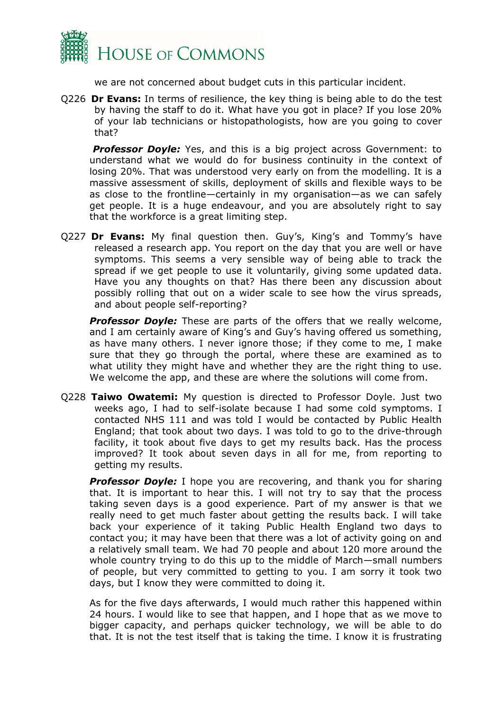

we are not concerned about budget cuts in this particular incident.

Q226 **Dr Evans:** In terms of resilience, the key thing is being able to do the test by having the staff to do it. What have you got in place? If you lose 20% of your lab technicians or histopathologists, how are you going to cover that?

*Professor Doyle:* Yes, and this is a big project across Government: to understand what we would do for business continuity in the context of losing 20%. That was understood very early on from the modelling. It is a massive assessment of skills, deployment of skills and flexible ways to be as close to the frontline—certainly in my organisation—as we can safely get people. It is a huge endeavour, and you are absolutely right to say that the workforce is a great limiting step.

Q227 **Dr Evans:** My final question then. Guy's, King's and Tommy's have released a research app. You report on the day that you are well or have symptoms. This seems a very sensible way of being able to track the spread if we get people to use it voluntarily, giving some updated data. Have you any thoughts on that? Has there been any discussion about possibly rolling that out on a wider scale to see how the virus spreads, and about people self-reporting?

*Professor Doyle:* These are parts of the offers that we really welcome, and I am certainly aware of King's and Guy's having offered us something, as have many others. I never ignore those; if they come to me, I make sure that they go through the portal, where these are examined as to what utility they might have and whether they are the right thing to use. We welcome the app, and these are where the solutions will come from.

Q228 **Taiwo Owatemi:** My question is directed to Professor Doyle. Just two weeks ago, I had to self-isolate because I had some cold symptoms. I contacted NHS 111 and was told I would be contacted by Public Health England; that took about two days. I was told to go to the drive-through facility, it took about five days to get my results back. Has the process improved? It took about seven days in all for me, from reporting to getting my results.

*Professor Doyle:* I hope you are recovering, and thank you for sharing that. It is important to hear this. I will not try to say that the process taking seven days is a good experience. Part of my answer is that we really need to get much faster about getting the results back. I will take back your experience of it taking Public Health England two days to contact you; it may have been that there was a lot of activity going on and a relatively small team. We had 70 people and about 120 more around the whole country trying to do this up to the middle of March—small numbers of people, but very committed to getting to you. I am sorry it took two days, but I know they were committed to doing it.

As for the five days afterwards, I would much rather this happened within 24 hours. I would like to see that happen, and I hope that as we move to bigger capacity, and perhaps quicker technology, we will be able to do that. It is not the test itself that is taking the time. I know it is frustrating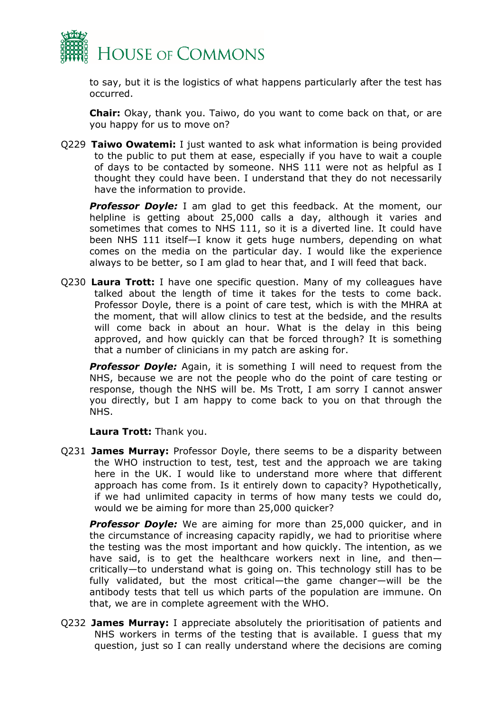

to say, but it is the logistics of what happens particularly after the test has occurred.

**Chair:** Okay, thank you. Taiwo, do you want to come back on that, or are you happy for us to move on?

Q229 **Taiwo Owatemi:** I just wanted to ask what information is being provided to the public to put them at ease, especially if you have to wait a couple of days to be contacted by someone. NHS 111 were not as helpful as I thought they could have been. I understand that they do not necessarily have the information to provide.

**Professor Doyle:** I am glad to get this feedback. At the moment, our helpline is getting about 25,000 calls a day, although it varies and sometimes that comes to NHS 111, so it is a diverted line. It could have been NHS 111 itself—I know it gets huge numbers, depending on what comes on the media on the particular day. I would like the experience always to be better, so I am glad to hear that, and I will feed that back.

Q230 **Laura Trott:** I have one specific question. Many of my colleagues have talked about the length of time it takes for the tests to come back. Professor Doyle, there is a point of care test, which is with the MHRA at the moment, that will allow clinics to test at the bedside, and the results will come back in about an hour. What is the delay in this being approved, and how quickly can that be forced through? It is something that a number of clinicians in my patch are asking for.

**Professor Doyle:** Again, it is something I will need to request from the NHS, because we are not the people who do the point of care testing or response, though the NHS will be. Ms Trott, I am sorry I cannot answer you directly, but I am happy to come back to you on that through the NHS.

**Laura Trott:** Thank you.

Q231 **James Murray:** Professor Doyle, there seems to be a disparity between the WHO instruction to test, test, test and the approach we are taking here in the UK. I would like to understand more where that different approach has come from. Is it entirely down to capacity? Hypothetically, if we had unlimited capacity in terms of how many tests we could do, would we be aiming for more than 25,000 quicker?

*Professor Doyle:* We are aiming for more than 25,000 quicker, and in the circumstance of increasing capacity rapidly, we had to prioritise where the testing was the most important and how quickly. The intention, as we have said, is to get the healthcare workers next in line, and then critically—to understand what is going on. This technology still has to be fully validated, but the most critical—the game changer—will be the antibody tests that tell us which parts of the population are immune. On that, we are in complete agreement with the WHO.

Q232 **James Murray:** I appreciate absolutely the prioritisation of patients and NHS workers in terms of the testing that is available. I guess that my question, just so I can really understand where the decisions are coming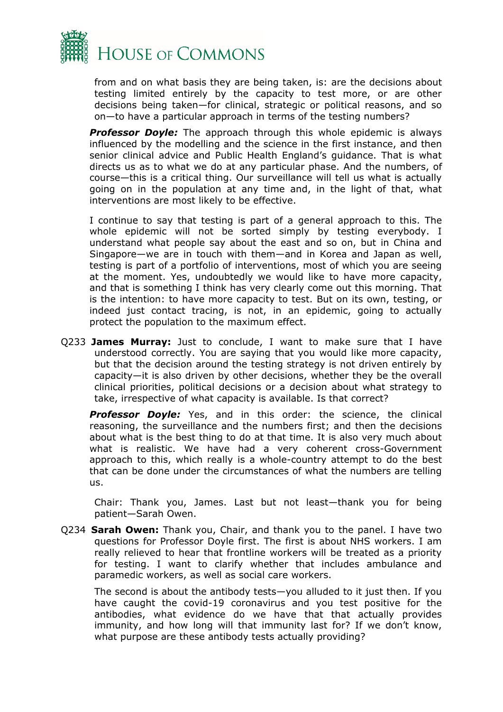

from and on what basis they are being taken, is: are the decisions about testing limited entirely by the capacity to test more, or are other decisions being taken—for clinical, strategic or political reasons, and so on—to have a particular approach in terms of the testing numbers?

*Professor Doyle:* The approach through this whole epidemic is always influenced by the modelling and the science in the first instance, and then senior clinical advice and Public Health England's guidance. That is what directs us as to what we do at any particular phase. And the numbers, of course—this is a critical thing. Our surveillance will tell us what is actually going on in the population at any time and, in the light of that, what interventions are most likely to be effective.

I continue to say that testing is part of a general approach to this. The whole epidemic will not be sorted simply by testing everybody. I understand what people say about the east and so on, but in China and Singapore—we are in touch with them—and in Korea and Japan as well, testing is part of a portfolio of interventions, most of which you are seeing at the moment. Yes, undoubtedly we would like to have more capacity, and that is something I think has very clearly come out this morning. That is the intention: to have more capacity to test. But on its own, testing, or indeed just contact tracing, is not, in an epidemic, going to actually protect the population to the maximum effect.

Q233 **James Murray:** Just to conclude, I want to make sure that I have understood correctly. You are saying that you would like more capacity, but that the decision around the testing strategy is not driven entirely by capacity—it is also driven by other decisions, whether they be the overall clinical priorities, political decisions or a decision about what strategy to take, irrespective of what capacity is available. Is that correct?

*Professor Doyle:* Yes, and in this order: the science, the clinical reasoning, the surveillance and the numbers first; and then the decisions about what is the best thing to do at that time. It is also very much about what is realistic. We have had a very coherent cross-Government approach to this, which really is a whole-country attempt to do the best that can be done under the circumstances of what the numbers are telling  $\overline{115}$ .

Chair: Thank you, James. Last but not least—thank you for being patient—Sarah Owen.

Q234 **Sarah Owen:** Thank you, Chair, and thank you to the panel. I have two questions for Professor Doyle first. The first is about NHS workers. I am really relieved to hear that frontline workers will be treated as a priority for testing. I want to clarify whether that includes ambulance and paramedic workers, as well as social care workers.

The second is about the antibody tests—you alluded to it just then. If you have caught the covid-19 coronavirus and you test positive for the antibodies, what evidence do we have that that actually provides immunity, and how long will that immunity last for? If we don't know, what purpose are these antibody tests actually providing?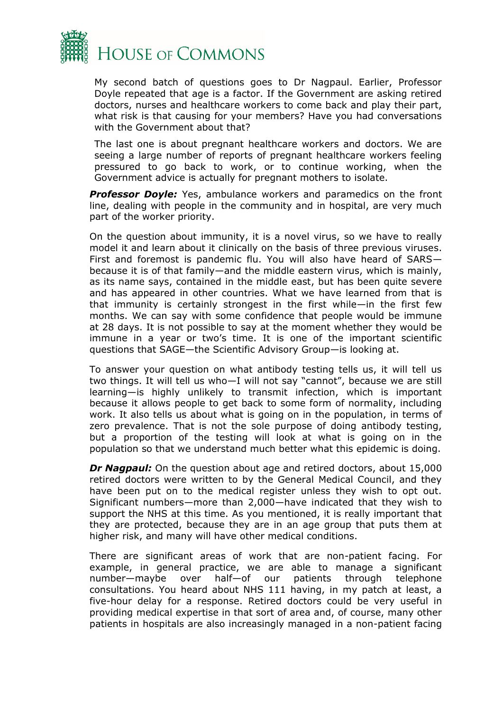

My second batch of questions goes to Dr Nagpaul. Earlier, Professor Doyle repeated that age is a factor. If the Government are asking retired doctors, nurses and healthcare workers to come back and play their part, what risk is that causing for your members? Have you had conversations with the Government about that?

The last one is about pregnant healthcare workers and doctors. We are seeing a large number of reports of pregnant healthcare workers feeling pressured to go back to work, or to continue working, when the Government advice is actually for pregnant mothers to isolate.

**Professor Doyle:** Yes, ambulance workers and paramedics on the front line, dealing with people in the community and in hospital, are very much part of the worker priority.

On the question about immunity, it is a novel virus, so we have to really model it and learn about it clinically on the basis of three previous viruses. First and foremost is pandemic flu. You will also have heard of SARS because it is of that family—and the middle eastern virus, which is mainly, as its name says, contained in the middle east, but has been quite severe and has appeared in other countries. What we have learned from that is that immunity is certainly strongest in the first while—in the first few months. We can say with some confidence that people would be immune at 28 days. It is not possible to say at the moment whether they would be immune in a year or two's time. It is one of the important scientific questions that SAGE—the Scientific Advisory Group—is looking at.

To answer your question on what antibody testing tells us, it will tell us two things. It will tell us who—I will not say "cannot", because we are still learning—is highly unlikely to transmit infection, which is important because it allows people to get back to some form of normality, including work. It also tells us about what is going on in the population, in terms of zero prevalence. That is not the sole purpose of doing antibody testing, but a proportion of the testing will look at what is going on in the population so that we understand much better what this epidemic is doing.

*Dr Nagpaul:* On the question about age and retired doctors, about 15,000 retired doctors were written to by the General Medical Council, and they have been put on to the medical register unless they wish to opt out. Significant numbers—more than 2,000—have indicated that they wish to support the NHS at this time. As you mentioned, it is really important that they are protected, because they are in an age group that puts them at higher risk, and many will have other medical conditions.

There are significant areas of work that are non-patient facing. For example, in general practice, we are able to manage a significant number—maybe over half—of our patients through telephone consultations. You heard about NHS 111 having, in my patch at least, a five-hour delay for a response. Retired doctors could be very useful in providing medical expertise in that sort of area and, of course, many other patients in hospitals are also increasingly managed in a non-patient facing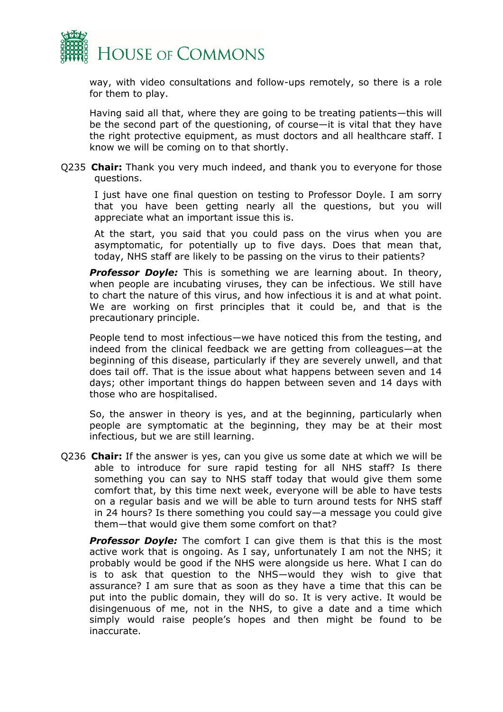

way, with video consultations and follow-ups remotely, so there is a role for them to play.

Having said all that, where they are going to be treating patients—this will be the second part of the questioning, of course—it is vital that they have the right protective equipment, as must doctors and all healthcare staff. I know we will be coming on to that shortly.

Q235 **Chair:** Thank you very much indeed, and thank you to everyone for those questions.

I just have one final question on testing to Professor Doyle. I am sorry that you have been getting nearly all the questions, but you will appreciate what an important issue this is.

At the start, you said that you could pass on the virus when you are asymptomatic, for potentially up to five days. Does that mean that, today, NHS staff are likely to be passing on the virus to their patients?

**Professor Doyle:** This is something we are learning about. In theory, when people are incubating viruses, they can be infectious. We still have to chart the nature of this virus, and how infectious it is and at what point. We are working on first principles that it could be, and that is the precautionary principle.

People tend to most infectious—we have noticed this from the testing, and indeed from the clinical feedback we are getting from colleagues—at the beginning of this disease, particularly if they are severely unwell, and that does tail off. That is the issue about what happens between seven and 14 days; other important things do happen between seven and 14 days with those who are hospitalised.

So, the answer in theory is yes, and at the beginning, particularly when people are symptomatic at the beginning, they may be at their most infectious, but we are still learning.

Q236 **Chair:** If the answer is yes, can you give us some date at which we will be able to introduce for sure rapid testing for all NHS staff? Is there something you can say to NHS staff today that would give them some comfort that, by this time next week, everyone will be able to have tests on a regular basis and we will be able to turn around tests for NHS staff in 24 hours? Is there something you could say—a message you could give them—that would give them some comfort on that?

**Professor Doyle:** The comfort I can give them is that this is the most active work that is ongoing. As I say, unfortunately I am not the NHS; it probably would be good if the NHS were alongside us here. What I can do is to ask that question to the NHS—would they wish to give that assurance? I am sure that as soon as they have a time that this can be put into the public domain, they will do so. It is very active. It would be disingenuous of me, not in the NHS, to give a date and a time which simply would raise people's hopes and then might be found to be inaccurate.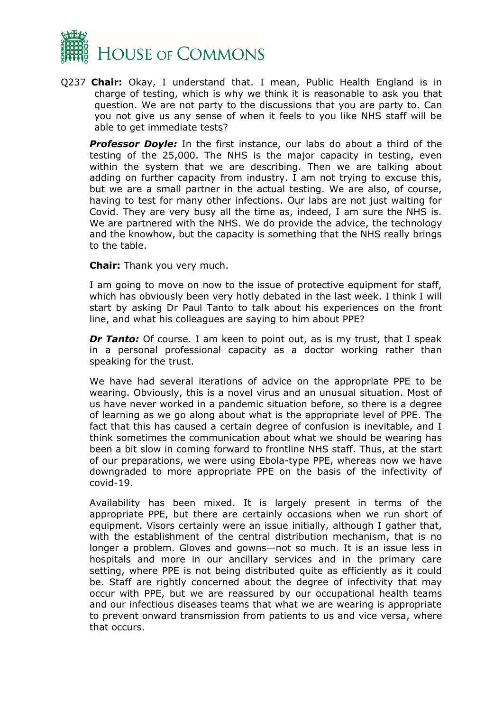

Q237 **Chair:** Okay, I understand that. I mean, Public Health England is in charge of testing, which is why we think it is reasonable to ask you that question. We are not party to the discussions that you are party to. Can you not give us any sense of when it feels to you like NHS staff will be able to get immediate tests?

*Professor Doyle:* In the first instance, our labs do about a third of the testing of the 25,000. The NHS is the major capacity in testing, even within the system that we are describing. Then we are talking about adding on further capacity from industry. I am not trying to excuse this, but we are a small partner in the actual testing. We are also, of course, having to test for many other infections. Our labs are not just waiting for Covid. They are very busy all the time as, indeed, I am sure the NHS is. We are partnered with the NHS. We do provide the advice, the technology and the knowhow, but the capacity is something that the NHS really brings to the table.

#### **Chair:** Thank you very much.

I am going to move on now to the issue of protective equipment for staff, which has obviously been very hotly debated in the last week. I think I will start by asking Dr Paul Tanto to talk about his experiences on the front line, and what his colleagues are saying to him about PPE?

*Dr Tanto:* Of course. I am keen to point out, as is my trust, that I speak in a personal professional capacity as a doctor working rather than speaking for the trust.

We have had several iterations of advice on the appropriate PPE to be wearing. Obviously, this is a novel virus and an unusual situation. Most of us have never worked in a pandemic situation before, so there is a degree of learning as we go along about what is the appropriate level of PPE. The fact that this has caused a certain degree of confusion is inevitable, and I think sometimes the communication about what we should be wearing has been a bit slow in coming forward to frontline NHS staff. Thus, at the start of our preparations, we were using Ebola-type PPE, whereas now we have downgraded to more appropriate PPE on the basis of the infectivity of covid-19.

Availability has been mixed. It is largely present in terms of the appropriate PPE, but there are certainly occasions when we run short of equipment. Visors certainly were an issue initially, although I gather that, with the establishment of the central distribution mechanism, that is no longer a problem. Gloves and gowns—not so much. It is an issue less in hospitals and more in our ancillary services and in the primary care setting, where PPE is not being distributed quite as efficiently as it could be. Staff are rightly concerned about the degree of infectivity that may occur with PPE, but we are reassured by our occupational health teams and our infectious diseases teams that what we are wearing is appropriate to prevent onward transmission from patients to us and vice versa, where that occurs.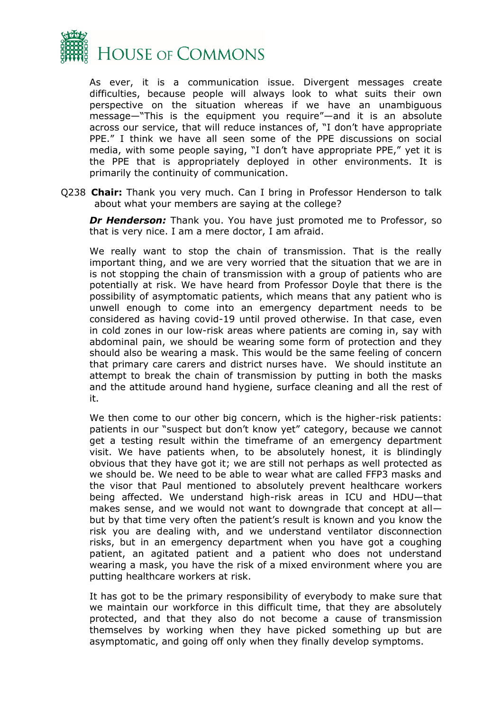

As ever, it is a communication issue. Divergent messages create difficulties, because people will always look to what suits their own perspective on the situation whereas if we have an unambiguous message—"This is the equipment you require"—and it is an absolute across our service, that will reduce instances of, "I don't have appropriate PPE." I think we have all seen some of the PPE discussions on social media, with some people saying, "I don't have appropriate PPE," yet it is the PPE that is appropriately deployed in other environments. It is primarily the continuity of communication.

Q238 **Chair:** Thank you very much. Can I bring in Professor Henderson to talk about what your members are saying at the college?

**Dr Henderson:** Thank you. You have just promoted me to Professor, so that is very nice. I am a mere doctor, I am afraid.

We really want to stop the chain of transmission. That is the really important thing, and we are very worried that the situation that we are in is not stopping the chain of transmission with a group of patients who are potentially at risk. We have heard from Professor Doyle that there is the possibility of asymptomatic patients, which means that any patient who is unwell enough to come into an emergency department needs to be considered as having covid-19 until proved otherwise. In that case, even in cold zones in our low-risk areas where patients are coming in, say with abdominal pain, we should be wearing some form of protection and they should also be wearing a mask. This would be the same feeling of concern that primary care carers and district nurses have. We should institute an attempt to break the chain of transmission by putting in both the masks and the attitude around hand hygiene, surface cleaning and all the rest of it.

We then come to our other big concern, which is the higher-risk patients: patients in our "suspect but don't know yet" category, because we cannot get a testing result within the timeframe of an emergency department visit. We have patients when, to be absolutely honest, it is blindingly obvious that they have got it; we are still not perhaps as well protected as we should be. We need to be able to wear what are called FFP3 masks and the visor that Paul mentioned to absolutely prevent healthcare workers being affected. We understand high-risk areas in ICU and HDU—that makes sense, and we would not want to downgrade that concept at all but by that time very often the patient's result is known and you know the risk you are dealing with, and we understand ventilator disconnection risks, but in an emergency department when you have got a coughing patient, an agitated patient and a patient who does not understand wearing a mask, you have the risk of a mixed environment where you are putting healthcare workers at risk.

It has got to be the primary responsibility of everybody to make sure that we maintain our workforce in this difficult time, that they are absolutely protected, and that they also do not become a cause of transmission themselves by working when they have picked something up but are asymptomatic, and going off only when they finally develop symptoms.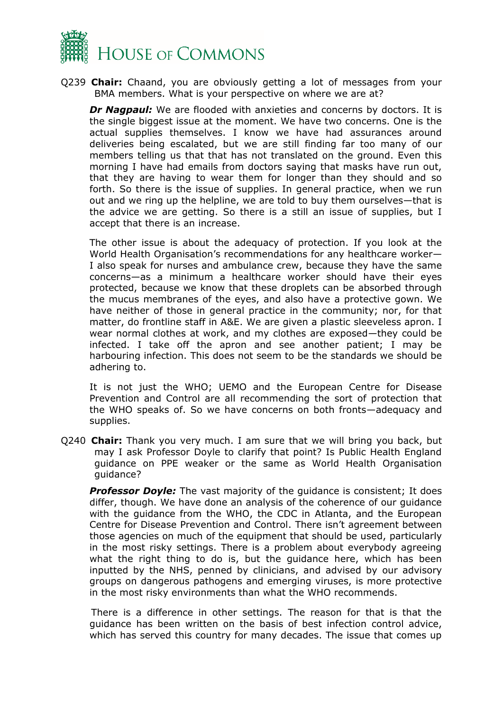

Q239 **Chair:** Chaand, you are obviously getting a lot of messages from your BMA members. What is your perspective on where we are at?

*Dr Nagpaul:* We are flooded with anxieties and concerns by doctors. It is the single biggest issue at the moment. We have two concerns. One is the actual supplies themselves. I know we have had assurances around deliveries being escalated, but we are still finding far too many of our members telling us that that has not translated on the ground. Even this morning I have had emails from doctors saying that masks have run out, that they are having to wear them for longer than they should and so forth. So there is the issue of supplies. In general practice, when we run out and we ring up the helpline, we are told to buy them ourselves—that is the advice we are getting. So there is a still an issue of supplies, but I accept that there is an increase.

The other issue is about the adequacy of protection. If you look at the World Health Organisation's recommendations for any healthcare worker— I also speak for nurses and ambulance crew, because they have the same concerns—as a minimum a healthcare worker should have their eyes protected, because we know that these droplets can be absorbed through the mucus membranes of the eyes, and also have a protective gown. We have neither of those in general practice in the community; nor, for that matter, do frontline staff in A&E. We are given a plastic sleeveless apron. I wear normal clothes at work, and my clothes are exposed—they could be infected. I take off the apron and see another patient; I may be harbouring infection. This does not seem to be the standards we should be adhering to.

It is not just the WHO; UEMO and the European Centre for Disease Prevention and Control are all recommending the sort of protection that the WHO speaks of. So we have concerns on both fronts—adequacy and supplies.

Q240 **Chair:** Thank you very much. I am sure that we will bring you back, but may I ask Professor Doyle to clarify that point? Is Public Health England guidance on PPE weaker or the same as World Health Organisation guidance?

**Professor Doyle:** The vast majority of the quidance is consistent; It does differ, though. We have done an analysis of the coherence of our guidance with the guidance from the WHO, the CDC in Atlanta, and the European Centre for Disease Prevention and Control. There isn't agreement between those agencies on much of the equipment that should be used, particularly in the most risky settings. There is a problem about everybody agreeing what the right thing to do is, but the guidance here, which has been inputted by the NHS, penned by clinicians, and advised by our advisory groups on dangerous pathogens and emerging viruses, is more protective in the most risky environments than what the WHO recommends.

There is a difference in other settings. The reason for that is that the guidance has been written on the basis of best infection control advice, which has served this country for many decades. The issue that comes up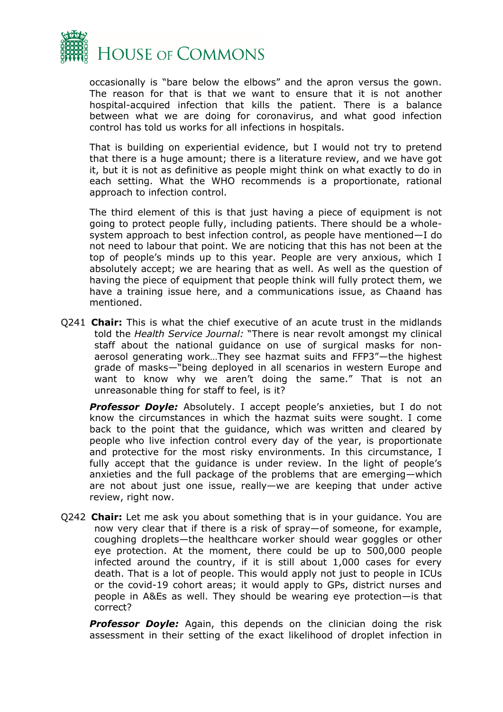

occasionally is "bare below the elbows" and the apron versus the gown. The reason for that is that we want to ensure that it is not another hospital-acquired infection that kills the patient. There is a balance between what we are doing for coronavirus, and what good infection control has told us works for all infections in hospitals.

That is building on experiential evidence, but I would not try to pretend that there is a huge amount; there is a literature review, and we have got it, but it is not as definitive as people might think on what exactly to do in each setting. What the WHO recommends is a proportionate, rational approach to infection control.

The third element of this is that just having a piece of equipment is not going to protect people fully, including patients. There should be a wholesystem approach to best infection control, as people have mentioned—I do not need to labour that point. We are noticing that this has not been at the top of people's minds up to this year. People are very anxious, which I absolutely accept; we are hearing that as well. As well as the question of having the piece of equipment that people think will fully protect them, we have a training issue here, and a communications issue, as Chaand has mentioned.

Q241 **Chair:** This is what the chief executive of an acute trust in the midlands told the *Health Service Journal:* "There is near revolt amongst my clinical staff about the national guidance on use of surgical masks for nonaerosol generating work…They see hazmat suits and FFP3"—the highest grade of masks—"being deployed in all scenarios in western Europe and want to know why we aren't doing the same." That is not an unreasonable thing for staff to feel, is it?

**Professor Doyle:** Absolutely. I accept people's anxieties, but I do not know the circumstances in which the hazmat suits were sought. I come back to the point that the guidance, which was written and cleared by people who live infection control every day of the year, is proportionate and protective for the most risky environments. In this circumstance, I fully accept that the guidance is under review. In the light of people's anxieties and the full package of the problems that are emerging—which are not about just one issue, really—we are keeping that under active review, right now.

Q242 **Chair:** Let me ask you about something that is in your guidance. You are now very clear that if there is a risk of spray—of someone, for example, coughing droplets—the healthcare worker should wear goggles or other eye protection. At the moment, there could be up to 500,000 people infected around the country, if it is still about 1,000 cases for every death. That is a lot of people. This would apply not just to people in ICUs or the covid-19 cohort areas; it would apply to GPs, district nurses and people in A&Es as well. They should be wearing eye protection—is that correct?

**Professor Doyle:** Again, this depends on the clinician doing the risk assessment in their setting of the exact likelihood of droplet infection in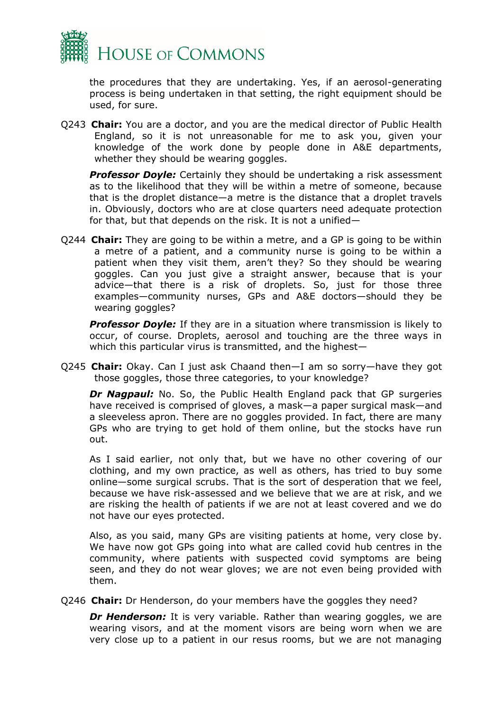

the procedures that they are undertaking. Yes, if an aerosol-generating process is being undertaken in that setting, the right equipment should be used, for sure.

Q243 **Chair:** You are a doctor, and you are the medical director of Public Health England, so it is not unreasonable for me to ask you, given your knowledge of the work done by people done in A&E departments, whether they should be wearing goggles.

*Professor Doyle:* Certainly they should be undertaking a risk assessment as to the likelihood that they will be within a metre of someone, because that is the droplet distance—a metre is the distance that a droplet travels in. Obviously, doctors who are at close quarters need adequate protection for that, but that depends on the risk. It is not a unified—

Q244 **Chair:** They are going to be within a metre, and a GP is going to be within a metre of a patient, and a community nurse is going to be within a patient when they visit them, aren't they? So they should be wearing goggles. Can you just give a straight answer, because that is your advice—that there is a risk of droplets. So, just for those three examples—community nurses, GPs and A&E doctors—should they be wearing goggles?

**Professor Doyle:** If they are in a situation where transmission is likely to occur, of course. Droplets, aerosol and touching are the three ways in which this particular virus is transmitted, and the highest—

Q245 **Chair:** Okay. Can I just ask Chaand then—I am so sorry—have they got those goggles, those three categories, to your knowledge?

**Dr Nagpaul:** No. So, the Public Health England pack that GP surgeries have received is comprised of gloves, a mask—a paper surgical mask—and a sleeveless apron. There are no goggles provided. In fact, there are many GPs who are trying to get hold of them online, but the stocks have run out.

As I said earlier, not only that, but we have no other covering of our clothing, and my own practice, as well as others, has tried to buy some online—some surgical scrubs. That is the sort of desperation that we feel, because we have risk-assessed and we believe that we are at risk, and we are risking the health of patients if we are not at least covered and we do not have our eyes protected.

Also, as you said, many GPs are visiting patients at home, very close by. We have now got GPs going into what are called covid hub centres in the community, where patients with suspected covid symptoms are being seen, and they do not wear gloves; we are not even being provided with them.

Q246 **Chair:** Dr Henderson, do your members have the goggles they need?

**Dr Henderson:** It is very variable. Rather than wearing goggles, we are wearing visors, and at the moment visors are being worn when we are very close up to a patient in our resus rooms, but we are not managing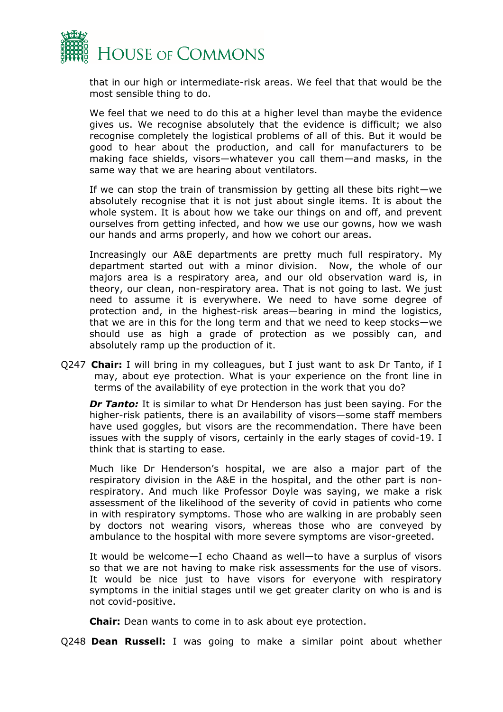

that in our high or intermediate-risk areas. We feel that that would be the most sensible thing to do.

We feel that we need to do this at a higher level than maybe the evidence gives us. We recognise absolutely that the evidence is difficult; we also recognise completely the logistical problems of all of this. But it would be good to hear about the production, and call for manufacturers to be making face shields, visors—whatever you call them—and masks, in the same way that we are hearing about ventilators.

If we can stop the train of transmission by getting all these bits right—we absolutely recognise that it is not just about single items. It is about the whole system. It is about how we take our things on and off, and prevent ourselves from getting infected, and how we use our gowns, how we wash our hands and arms properly, and how we cohort our areas.

Increasingly our A&E departments are pretty much full respiratory. My department started out with a minor division. Now, the whole of our majors area is a respiratory area, and our old observation ward is, in theory, our clean, non-respiratory area. That is not going to last. We just need to assume it is everywhere. We need to have some degree of protection and, in the highest-risk areas—bearing in mind the logistics, that we are in this for the long term and that we need to keep stocks—we should use as high a grade of protection as we possibly can, and absolutely ramp up the production of it.

Q247 **Chair:** I will bring in my colleagues, but I just want to ask Dr Tanto, if I may, about eye protection. What is your experience on the front line in terms of the availability of eye protection in the work that you do?

**Dr Tanto:** It is similar to what Dr Henderson has just been saying. For the higher-risk patients, there is an availability of visors—some staff members have used goggles, but visors are the recommendation. There have been issues with the supply of visors, certainly in the early stages of covid-19. I think that is starting to ease.

Much like Dr Henderson's hospital, we are also a major part of the respiratory division in the A&E in the hospital, and the other part is nonrespiratory. And much like Professor Doyle was saying, we make a risk assessment of the likelihood of the severity of covid in patients who come in with respiratory symptoms. Those who are walking in are probably seen by doctors not wearing visors, whereas those who are conveyed by ambulance to the hospital with more severe symptoms are visor-greeted.

It would be welcome—I echo Chaand as well—to have a surplus of visors so that we are not having to make risk assessments for the use of visors. It would be nice just to have visors for everyone with respiratory symptoms in the initial stages until we get greater clarity on who is and is not covid-positive.

**Chair:** Dean wants to come in to ask about eye protection.

Q248 **Dean Russell:** I was going to make a similar point about whether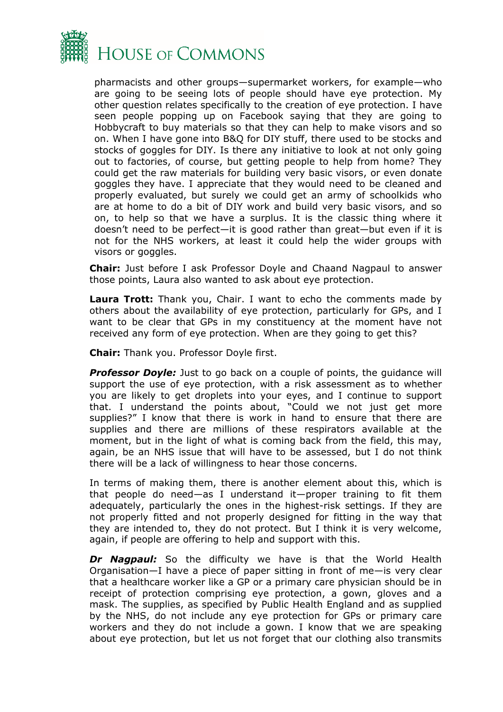

pharmacists and other groups—supermarket workers, for example—who are going to be seeing lots of people should have eye protection. My other question relates specifically to the creation of eye protection. I have seen people popping up on Facebook saying that they are going to Hobbycraft to buy materials so that they can help to make visors and so on. When I have gone into B&Q for DIY stuff, there used to be stocks and stocks of goggles for DIY. Is there any initiative to look at not only going out to factories, of course, but getting people to help from home? They could get the raw materials for building very basic visors, or even donate goggles they have. I appreciate that they would need to be cleaned and properly evaluated, but surely we could get an army of schoolkids who are at home to do a bit of DIY work and build very basic visors, and so on, to help so that we have a surplus. It is the classic thing where it doesn't need to be perfect—it is good rather than great—but even if it is not for the NHS workers, at least it could help the wider groups with visors or goggles.

**Chair:** Just before I ask Professor Doyle and Chaand Nagpaul to answer those points, Laura also wanted to ask about eye protection.

**Laura Trott:** Thank you, Chair. I want to echo the comments made by others about the availability of eye protection, particularly for GPs, and I want to be clear that GPs in my constituency at the moment have not received any form of eye protection. When are they going to get this?

**Chair:** Thank you. Professor Doyle first.

**Professor Doyle:** Just to go back on a couple of points, the guidance will support the use of eye protection, with a risk assessment as to whether you are likely to get droplets into your eyes, and I continue to support that. I understand the points about, "Could we not just get more supplies?" I know that there is work in hand to ensure that there are supplies and there are millions of these respirators available at the moment, but in the light of what is coming back from the field, this may, again, be an NHS issue that will have to be assessed, but I do not think there will be a lack of willingness to hear those concerns.

In terms of making them, there is another element about this, which is that people do need—as I understand it—proper training to fit them adequately, particularly the ones in the highest-risk settings. If they are not properly fitted and not properly designed for fitting in the way that they are intended to, they do not protect. But I think it is very welcome, again, if people are offering to help and support with this.

*Dr Nagpaul:* So the difficulty we have is that the World Health Organisation—I have a piece of paper sitting in front of me—is very clear that a healthcare worker like a GP or a primary care physician should be in receipt of protection comprising eye protection, a gown, gloves and a mask. The supplies, as specified by Public Health England and as supplied by the NHS, do not include any eye protection for GPs or primary care workers and they do not include a gown. I know that we are speaking about eye protection, but let us not forget that our clothing also transmits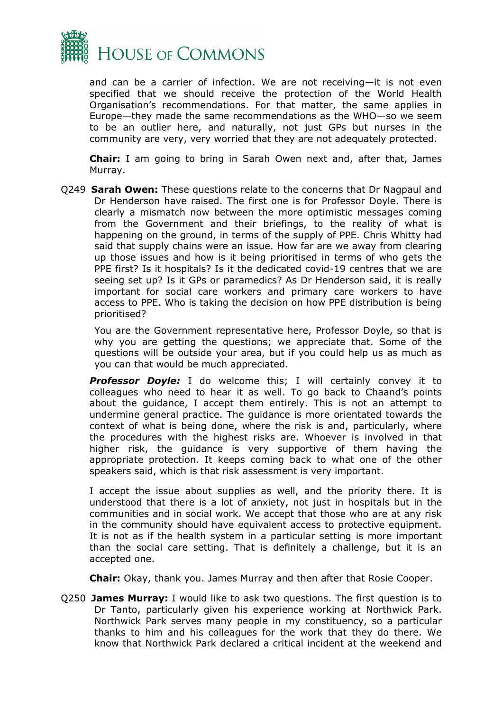

and can be a carrier of infection. We are not receiving—it is not even specified that we should receive the protection of the World Health Organisation's recommendations. For that matter, the same applies in Europe—they made the same recommendations as the WHO—so we seem to be an outlier here, and naturally, not just GPs but nurses in the community are very, very worried that they are not adequately protected.

**Chair:** I am going to bring in Sarah Owen next and, after that, James Murray.

Q249 **Sarah Owen:** These questions relate to the concerns that Dr Nagpaul and Dr Henderson have raised. The first one is for Professor Doyle. There is clearly a mismatch now between the more optimistic messages coming from the Government and their briefings, to the reality of what is happening on the ground, in terms of the supply of PPE. Chris Whitty had said that supply chains were an issue. How far are we away from clearing up those issues and how is it being prioritised in terms of who gets the PPE first? Is it hospitals? Is it the dedicated covid-19 centres that we are seeing set up? Is it GPs or paramedics? As Dr Henderson said, it is really important for social care workers and primary care workers to have access to PPE. Who is taking the decision on how PPE distribution is being prioritised?

You are the Government representative here, Professor Doyle, so that is why you are getting the questions; we appreciate that. Some of the questions will be outside your area, but if you could help us as much as you can that would be much appreciated.

**Professor Doyle:** I do welcome this; I will certainly convey it to colleagues who need to hear it as well. To go back to Chaand's points about the guidance, I accept them entirely. This is not an attempt to undermine general practice. The guidance is more orientated towards the context of what is being done, where the risk is and, particularly, where the procedures with the highest risks are. Whoever is involved in that higher risk, the guidance is very supportive of them having the appropriate protection. It keeps coming back to what one of the other speakers said, which is that risk assessment is very important.

I accept the issue about supplies as well, and the priority there. It is understood that there is a lot of anxiety, not just in hospitals but in the communities and in social work. We accept that those who are at any risk in the community should have equivalent access to protective equipment. It is not as if the health system in a particular setting is more important than the social care setting. That is definitely a challenge, but it is an accepted one.

**Chair:** Okay, thank you. James Murray and then after that Rosie Cooper.

Q250 **James Murray:** I would like to ask two questions. The first question is to Dr Tanto, particularly given his experience working at Northwick Park. Northwick Park serves many people in my constituency, so a particular thanks to him and his colleagues for the work that they do there. We know that Northwick Park declared a critical incident at the weekend and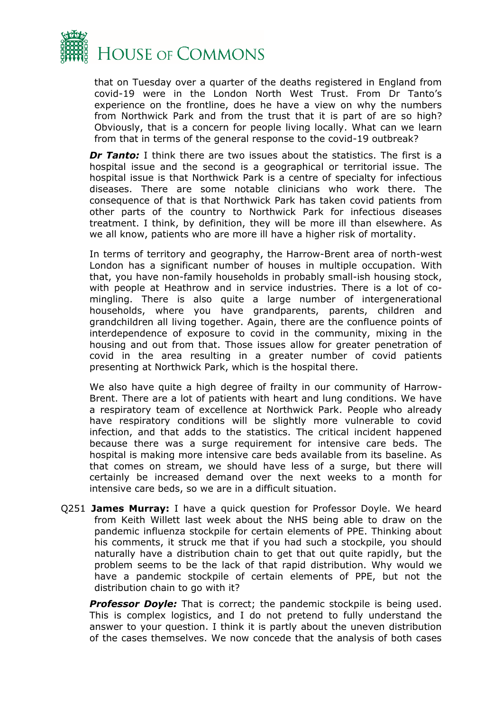

that on Tuesday over a quarter of the deaths registered in England from covid-19 were in the London North West Trust. From Dr Tanto's experience on the frontline, does he have a view on why the numbers from Northwick Park and from the trust that it is part of are so high? Obviously, that is a concern for people living locally. What can we learn from that in terms of the general response to the covid-19 outbreak?

*Dr Tanto:* I think there are two issues about the statistics. The first is a hospital issue and the second is a geographical or territorial issue. The hospital issue is that Northwick Park is a centre of specialty for infectious diseases. There are some notable clinicians who work there. The consequence of that is that Northwick Park has taken covid patients from other parts of the country to Northwick Park for infectious diseases treatment. I think, by definition, they will be more ill than elsewhere. As we all know, patients who are more ill have a higher risk of mortality.

In terms of territory and geography, the Harrow-Brent area of north-west London has a significant number of houses in multiple occupation. With that, you have non-family households in probably small-ish housing stock, with people at Heathrow and in service industries. There is a lot of comingling. There is also quite a large number of intergenerational households, where you have grandparents, parents, children and grandchildren all living together. Again, there are the confluence points of interdependence of exposure to covid in the community, mixing in the housing and out from that. Those issues allow for greater penetration of covid in the area resulting in a greater number of covid patients presenting at Northwick Park, which is the hospital there.

We also have quite a high degree of frailty in our community of Harrow-Brent. There are a lot of patients with heart and lung conditions. We have a respiratory team of excellence at Northwick Park. People who already have respiratory conditions will be slightly more vulnerable to covid infection, and that adds to the statistics. The critical incident happened because there was a surge requirement for intensive care beds. The hospital is making more intensive care beds available from its baseline. As that comes on stream, we should have less of a surge, but there will certainly be increased demand over the next weeks to a month for intensive care beds, so we are in a difficult situation.

Q251 **James Murray:** I have a quick question for Professor Doyle. We heard from Keith Willett last week about the NHS being able to draw on the pandemic influenza stockpile for certain elements of PPE. Thinking about his comments, it struck me that if you had such a stockpile, you should naturally have a distribution chain to get that out quite rapidly, but the problem seems to be the lack of that rapid distribution. Why would we have a pandemic stockpile of certain elements of PPE, but not the distribution chain to go with it?

**Professor Doyle:** That is correct; the pandemic stockpile is being used. This is complex logistics, and I do not pretend to fully understand the answer to your question. I think it is partly about the uneven distribution of the cases themselves. We now concede that the analysis of both cases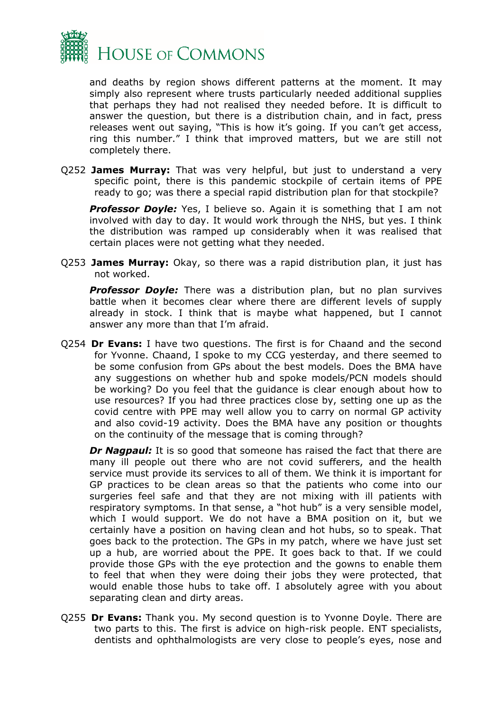

and deaths by region shows different patterns at the moment. It may simply also represent where trusts particularly needed additional supplies that perhaps they had not realised they needed before. It is difficult to answer the question, but there is a distribution chain, and in fact, press releases went out saying, "This is how it's going. If you can't get access, ring this number." I think that improved matters, but we are still not completely there.

Q252 **James Murray:** That was very helpful, but just to understand a very specific point, there is this pandemic stockpile of certain items of PPE ready to go; was there a special rapid distribution plan for that stockpile?

**Professor Doyle:** Yes, I believe so. Again it is something that I am not involved with day to day. It would work through the NHS, but yes. I think the distribution was ramped up considerably when it was realised that certain places were not getting what they needed.

Q253 **James Murray:** Okay, so there was a rapid distribution plan, it just has not worked.

**Professor Doyle:** There was a distribution plan, but no plan survives battle when it becomes clear where there are different levels of supply already in stock. I think that is maybe what happened, but I cannot answer any more than that I'm afraid.

Q254 **Dr Evans:** I have two questions. The first is for Chaand and the second for Yvonne. Chaand, I spoke to my CCG yesterday, and there seemed to be some confusion from GPs about the best models. Does the BMA have any suggestions on whether hub and spoke models/PCN models should be working? Do you feel that the guidance is clear enough about how to use resources? If you had three practices close by, setting one up as the covid centre with PPE may well allow you to carry on normal GP activity and also covid-19 activity. Does the BMA have any position or thoughts on the continuity of the message that is coming through?

**Dr Nagpaul:** It is so good that someone has raised the fact that there are many ill people out there who are not covid sufferers, and the health service must provide its services to all of them. We think it is important for GP practices to be clean areas so that the patients who come into our surgeries feel safe and that they are not mixing with ill patients with respiratory symptoms. In that sense, a "hot hub" is a very sensible model, which I would support. We do not have a BMA position on it, but we certainly have a position on having clean and hot hubs, so to speak. That goes back to the protection. The GPs in my patch, where we have just set up a hub, are worried about the PPE. It goes back to that. If we could provide those GPs with the eye protection and the gowns to enable them to feel that when they were doing their jobs they were protected, that would enable those hubs to take off. I absolutely agree with you about separating clean and dirty areas.

Q255 **Dr Evans:** Thank you. My second question is to Yvonne Doyle. There are two parts to this. The first is advice on high-risk people. ENT specialists, dentists and ophthalmologists are very close to people's eyes, nose and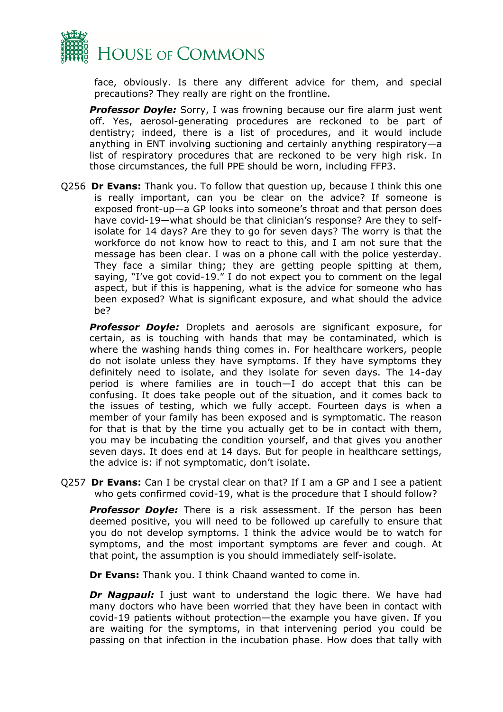

face, obviously. Is there any different advice for them, and special precautions? They really are right on the frontline.

**Professor Doyle:** Sorry, I was frowning because our fire alarm just went off. Yes, aerosol-generating procedures are reckoned to be part of dentistry; indeed, there is a list of procedures, and it would include anything in ENT involving suctioning and certainly anything respiratory—a list of respiratory procedures that are reckoned to be very high risk. In those circumstances, the full PPE should be worn, including FFP3.

Q256 **Dr Evans:** Thank you. To follow that question up, because I think this one is really important, can you be clear on the advice? If someone is exposed front-up—a GP looks into someone's throat and that person does have covid-19—what should be that clinician's response? Are they to selfisolate for 14 days? Are they to go for seven days? The worry is that the workforce do not know how to react to this, and I am not sure that the message has been clear. I was on a phone call with the police yesterday. They face a similar thing; they are getting people spitting at them, saying, "I've got covid-19." I do not expect you to comment on the legal aspect, but if this is happening, what is the advice for someone who has been exposed? What is significant exposure, and what should the advice be?

*Professor Doyle:* Droplets and aerosols are significant exposure, for certain, as is touching with hands that may be contaminated, which is where the washing hands thing comes in. For healthcare workers, people do not isolate unless they have symptoms. If they have symptoms they definitely need to isolate, and they isolate for seven days. The 14-day period is where families are in touch—I do accept that this can be confusing. It does take people out of the situation, and it comes back to the issues of testing, which we fully accept. Fourteen days is when a member of your family has been exposed and is symptomatic. The reason for that is that by the time you actually get to be in contact with them, you may be incubating the condition yourself, and that gives you another seven days. It does end at 14 days. But for people in healthcare settings, the advice is: if not symptomatic, don't isolate.

Q257 **Dr Evans:** Can I be crystal clear on that? If I am a GP and I see a patient who gets confirmed covid-19, what is the procedure that I should follow?

**Professor Doyle:** There is a risk assessment. If the person has been deemed positive, you will need to be followed up carefully to ensure that you do not develop symptoms. I think the advice would be to watch for symptoms, and the most important symptoms are fever and cough. At that point, the assumption is you should immediately self-isolate.

**Dr Evans:** Thank you. I think Chaand wanted to come in.

*Dr Nagpaul:* I just want to understand the logic there. We have had many doctors who have been worried that they have been in contact with covid-19 patients without protection—the example you have given. If you are waiting for the symptoms, in that intervening period you could be passing on that infection in the incubation phase. How does that tally with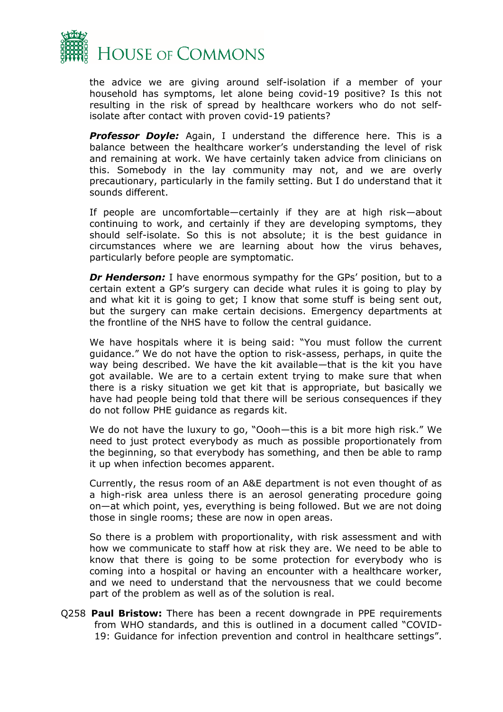

the advice we are giving around self-isolation if a member of your household has symptoms, let alone being covid-19 positive? Is this not resulting in the risk of spread by healthcare workers who do not selfisolate after contact with proven covid-19 patients?

**Professor Doyle:** Again, I understand the difference here. This is a balance between the healthcare worker's understanding the level of risk and remaining at work. We have certainly taken advice from clinicians on this. Somebody in the lay community may not, and we are overly precautionary, particularly in the family setting. But I do understand that it sounds different.

If people are uncomfortable—certainly if they are at high risk—about continuing to work, and certainly if they are developing symptoms, they should self-isolate. So this is not absolute; it is the best guidance in circumstances where we are learning about how the virus behaves, particularly before people are symptomatic.

*Dr Henderson:* I have enormous sympathy for the GPs' position, but to a certain extent a GP's surgery can decide what rules it is going to play by and what kit it is going to get; I know that some stuff is being sent out, but the surgery can make certain decisions. Emergency departments at the frontline of the NHS have to follow the central guidance.

We have hospitals where it is being said: "You must follow the current guidance." We do not have the option to risk-assess, perhaps, in quite the way being described. We have the kit available—that is the kit you have got available. We are to a certain extent trying to make sure that when there is a risky situation we get kit that is appropriate, but basically we have had people being told that there will be serious consequences if they do not follow PHE guidance as regards kit.

We do not have the luxury to go, "Oooh—this is a bit more high risk." We need to just protect everybody as much as possible proportionately from the beginning, so that everybody has something, and then be able to ramp it up when infection becomes apparent.

Currently, the resus room of an A&E department is not even thought of as a high-risk area unless there is an aerosol generating procedure going on—at which point, yes, everything is being followed. But we are not doing those in single rooms; these are now in open areas.

So there is a problem with proportionality, with risk assessment and with how we communicate to staff how at risk they are. We need to be able to know that there is going to be some protection for everybody who is coming into a hospital or having an encounter with a healthcare worker, and we need to understand that the nervousness that we could become part of the problem as well as of the solution is real.

Q258 **Paul Bristow:** There has been a recent downgrade in PPE requirements from WHO standards, and this is outlined in a document called "COVID-19: Guidance for infection prevention and control in healthcare settings".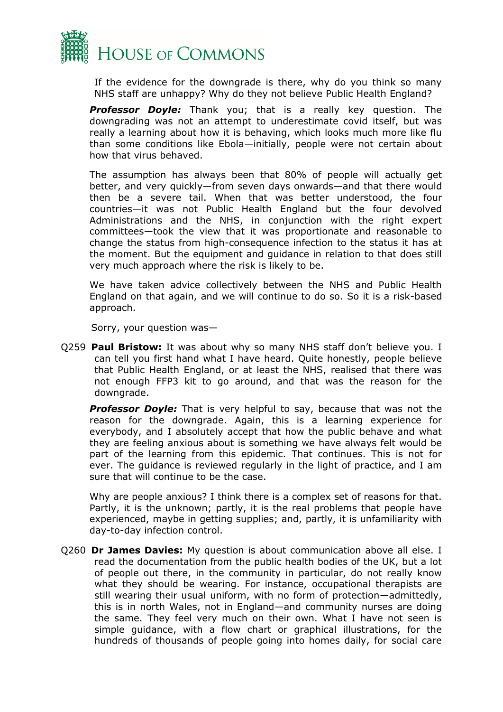

If the evidence for the downgrade is there, why do you think so many NHS staff are unhappy? Why do they not believe Public Health England?

*Professor Doyle:* Thank you; that is a really key question. The downgrading was not an attempt to underestimate covid itself, but was really a learning about how it is behaving, which looks much more like flu than some conditions like Ebola—initially, people were not certain about how that virus behaved.

The assumption has always been that 80% of people will actually get better, and very quickly—from seven days onwards—and that there would then be a severe tail. When that was better understood, the four countries—it was not Public Health England but the four devolved Administrations and the NHS, in conjunction with the right expert committees—took the view that it was proportionate and reasonable to change the status from high-consequence infection to the status it has at the moment. But the equipment and guidance in relation to that does still very much approach where the risk is likely to be.

We have taken advice collectively between the NHS and Public Health England on that again, and we will continue to do so. So it is a risk-based approach.

Sorry, your question was—

Q259 **Paul Bristow:** It was about why so many NHS staff don't believe you. I can tell you first hand what I have heard. Quite honestly, people believe that Public Health England, or at least the NHS, realised that there was not enough FFP3 kit to go around, and that was the reason for the downgrade.

**Professor Doyle:** That is very helpful to say, because that was not the reason for the downgrade. Again, this is a learning experience for everybody, and I absolutely accept that how the public behave and what they are feeling anxious about is something we have always felt would be part of the learning from this epidemic. That continues. This is not for ever. The guidance is reviewed regularly in the light of practice, and I am sure that will continue to be the case.

Why are people anxious? I think there is a complex set of reasons for that. Partly, it is the unknown; partly, it is the real problems that people have experienced, maybe in getting supplies; and, partly, it is unfamiliarity with day-to-day infection control.

Q260 **Dr James Davies:** My question is about communication above all else. I read the documentation from the public health bodies of the UK, but a lot of people out there, in the community in particular, do not really know what they should be wearing. For instance, occupational therapists are still wearing their usual uniform, with no form of protection—admittedly, this is in north Wales, not in England—and community nurses are doing the same. They feel very much on their own. What I have not seen is simple guidance, with a flow chart or graphical illustrations, for the hundreds of thousands of people going into homes daily, for social care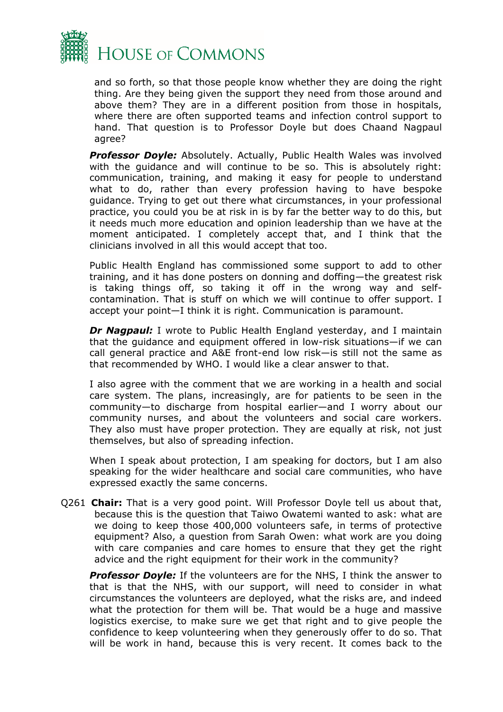

and so forth, so that those people know whether they are doing the right thing. Are they being given the support they need from those around and above them? They are in a different position from those in hospitals, where there are often supported teams and infection control support to hand. That question is to Professor Doyle but does Chaand Nagpaul agree?

**Professor Doyle:** Absolutely. Actually, Public Health Wales was involved with the guidance and will continue to be so. This is absolutely right: communication, training, and making it easy for people to understand what to do, rather than every profession having to have bespoke guidance. Trying to get out there what circumstances, in your professional practice, you could you be at risk in is by far the better way to do this, but it needs much more education and opinion leadership than we have at the moment anticipated. I completely accept that, and I think that the clinicians involved in all this would accept that too.

Public Health England has commissioned some support to add to other training, and it has done posters on donning and doffing—the greatest risk is taking things off, so taking it off in the wrong way and selfcontamination. That is stuff on which we will continue to offer support. I accept your point—I think it is right. Communication is paramount.

**Dr Nagpaul:** I wrote to Public Health England yesterday, and I maintain that the guidance and equipment offered in low-risk situations—if we can call general practice and A&E front-end low risk—is still not the same as that recommended by WHO. I would like a clear answer to that.

I also agree with the comment that we are working in a health and social care system. The plans, increasingly, are for patients to be seen in the community—to discharge from hospital earlier—and I worry about our community nurses, and about the volunteers and social care workers. They also must have proper protection. They are equally at risk, not just themselves, but also of spreading infection.

When I speak about protection, I am speaking for doctors, but I am also speaking for the wider healthcare and social care communities, who have expressed exactly the same concerns.

Q261 **Chair:** That is a very good point. Will Professor Doyle tell us about that, because this is the question that Taiwo Owatemi wanted to ask: what are we doing to keep those 400,000 volunteers safe, in terms of protective equipment? Also, a question from Sarah Owen: what work are you doing with care companies and care homes to ensure that they get the right advice and the right equipment for their work in the community?

*Professor Doyle:* If the volunteers are for the NHS, I think the answer to that is that the NHS, with our support, will need to consider in what circumstances the volunteers are deployed, what the risks are, and indeed what the protection for them will be. That would be a huge and massive logistics exercise, to make sure we get that right and to give people the confidence to keep volunteering when they generously offer to do so. That will be work in hand, because this is very recent. It comes back to the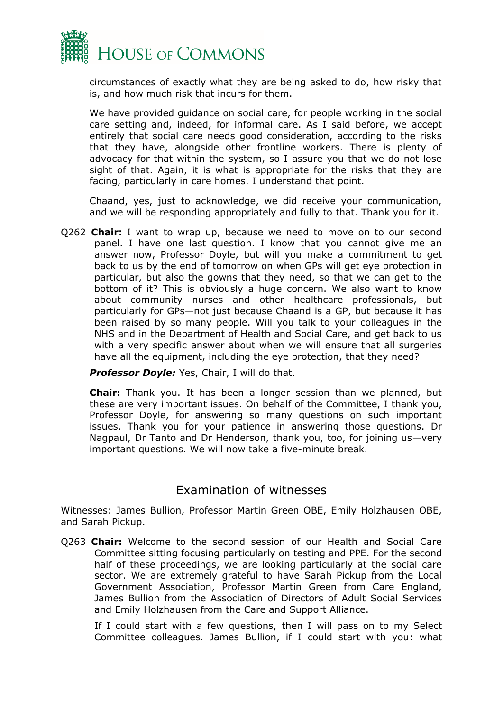

circumstances of exactly what they are being asked to do, how risky that is, and how much risk that incurs for them.

We have provided guidance on social care, for people working in the social care setting and, indeed, for informal care. As I said before, we accept entirely that social care needs good consideration, according to the risks that they have, alongside other frontline workers. There is plenty of advocacy for that within the system, so I assure you that we do not lose sight of that. Again, it is what is appropriate for the risks that they are facing, particularly in care homes. I understand that point.

Chaand, yes, just to acknowledge, we did receive your communication, and we will be responding appropriately and fully to that. Thank you for it.

Q262 **Chair:** I want to wrap up, because we need to move on to our second panel. I have one last question. I know that you cannot give me an answer now, Professor Doyle, but will you make a commitment to get back to us by the end of tomorrow on when GPs will get eye protection in particular, but also the gowns that they need, so that we can get to the bottom of it? This is obviously a huge concern. We also want to know about community nurses and other healthcare professionals, but particularly for GPs—not just because Chaand is a GP, but because it has been raised by so many people. Will you talk to your colleagues in the NHS and in the Department of Health and Social Care, and get back to us with a very specific answer about when we will ensure that all surgeries have all the equipment, including the eye protection, that they need?

*Professor Doyle:* Yes, Chair, I will do that.

**Chair:** Thank you. It has been a longer session than we planned, but these are very important issues. On behalf of the Committee, I thank you, Professor Doyle, for answering so many questions on such important issues. Thank you for your patience in answering those questions. Dr Nagpaul, Dr Tanto and Dr Henderson, thank you, too, for joining us—very important questions. We will now take a five-minute break.

### Examination of witnesses

Witnesses: James Bullion, Professor Martin Green OBE, Emily Holzhausen OBE, and Sarah Pickup.

Q263 **Chair:** Welcome to the second session of our Health and Social Care Committee sitting focusing particularly on testing and PPE. For the second half of these proceedings, we are looking particularly at the social care sector. We are extremely grateful to have Sarah Pickup from the Local Government Association, Professor Martin Green from Care England, James Bullion from the Association of Directors of Adult Social Services and Emily Holzhausen from the Care and Support Alliance.

If I could start with a few questions, then I will pass on to my Select Committee colleagues. James Bullion, if I could start with you: what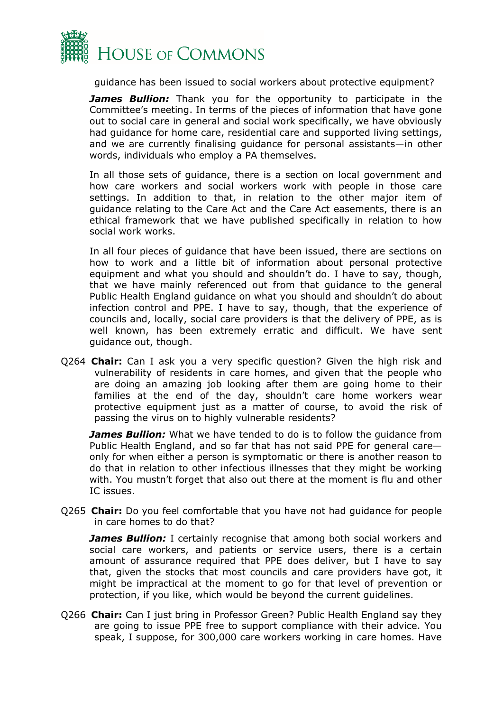

guidance has been issued to social workers about protective equipment?

**James Bullion:** Thank you for the opportunity to participate in the Committee's meeting. In terms of the pieces of information that have gone out to social care in general and social work specifically, we have obviously had guidance for home care, residential care and supported living settings, and we are currently finalising guidance for personal assistants—in other words, individuals who employ a PA themselves.

In all those sets of guidance, there is a section on local government and how care workers and social workers work with people in those care settings. In addition to that, in relation to the other major item of guidance relating to the Care Act and the Care Act easements, there is an ethical framework that we have published specifically in relation to how social work works.

In all four pieces of guidance that have been issued, there are sections on how to work and a little bit of information about personal protective equipment and what you should and shouldn't do. I have to say, though, that we have mainly referenced out from that guidance to the general Public Health England guidance on what you should and shouldn't do about infection control and PPE. I have to say, though, that the experience of councils and, locally, social care providers is that the delivery of PPE, as is well known, has been extremely erratic and difficult. We have sent guidance out, though.

Q264 **Chair:** Can I ask you a very specific question? Given the high risk and vulnerability of residents in care homes, and given that the people who are doing an amazing job looking after them are going home to their families at the end of the day, shouldn't care home workers wear protective equipment just as a matter of course, to avoid the risk of passing the virus on to highly vulnerable residents?

**James Bullion:** What we have tended to do is to follow the quidance from Public Health England, and so far that has not said PPE for general care only for when either a person is symptomatic or there is another reason to do that in relation to other infectious illnesses that they might be working with. You mustn't forget that also out there at the moment is flu and other IC issues.

Q265 **Chair:** Do you feel comfortable that you have not had guidance for people in care homes to do that?

**James Bullion:** I certainly recognise that among both social workers and social care workers, and patients or service users, there is a certain amount of assurance required that PPE does deliver, but I have to say that, given the stocks that most councils and care providers have got, it might be impractical at the moment to go for that level of prevention or protection, if you like, which would be beyond the current guidelines.

Q266 **Chair:** Can I just bring in Professor Green? Public Health England say they are going to issue PPE free to support compliance with their advice. You speak, I suppose, for 300,000 care workers working in care homes. Have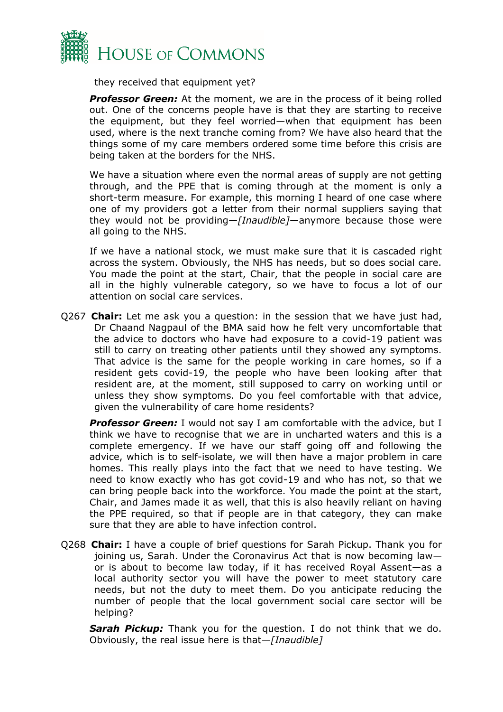

they received that equipment yet?

*Professor Green:* At the moment, we are in the process of it being rolled out. One of the concerns people have is that they are starting to receive the equipment, but they feel worried—when that equipment has been used, where is the next tranche coming from? We have also heard that the things some of my care members ordered some time before this crisis are being taken at the borders for the NHS.

We have a situation where even the normal areas of supply are not getting through, and the PPE that is coming through at the moment is only a short-term measure. For example, this morning I heard of one case where one of my providers got a letter from their normal suppliers saying that they would not be providing—*[Inaudible]*—anymore because those were all going to the NHS.

If we have a national stock, we must make sure that it is cascaded right across the system. Obviously, the NHS has needs, but so does social care. You made the point at the start, Chair, that the people in social care are all in the highly vulnerable category, so we have to focus a lot of our attention on social care services.

Q267 **Chair:** Let me ask you a question: in the session that we have just had, Dr Chaand Nagpaul of the BMA said how he felt very uncomfortable that the advice to doctors who have had exposure to a covid-19 patient was still to carry on treating other patients until they showed any symptoms. That advice is the same for the people working in care homes, so if a resident gets covid-19, the people who have been looking after that resident are, at the moment, still supposed to carry on working until or unless they show symptoms. Do you feel comfortable with that advice, given the vulnerability of care home residents?

**Professor Green:** I would not say I am comfortable with the advice, but I think we have to recognise that we are in uncharted waters and this is a complete emergency. If we have our staff going off and following the advice, which is to self-isolate, we will then have a major problem in care homes. This really plays into the fact that we need to have testing. We need to know exactly who has got covid-19 and who has not, so that we can bring people back into the workforce. You made the point at the start, Chair, and James made it as well, that this is also heavily reliant on having the PPE required, so that if people are in that category, they can make sure that they are able to have infection control.

Q268 **Chair:** I have a couple of brief questions for Sarah Pickup. Thank you for joining us, Sarah. Under the Coronavirus Act that is now becoming law or is about to become law today, if it has received Royal Assent—as a local authority sector you will have the power to meet statutory care needs, but not the duty to meet them. Do you anticipate reducing the number of people that the local government social care sector will be helping?

*Sarah Pickup:* Thank you for the question. I do not think that we do. Obviously, the real issue here is that—*[Inaudible]*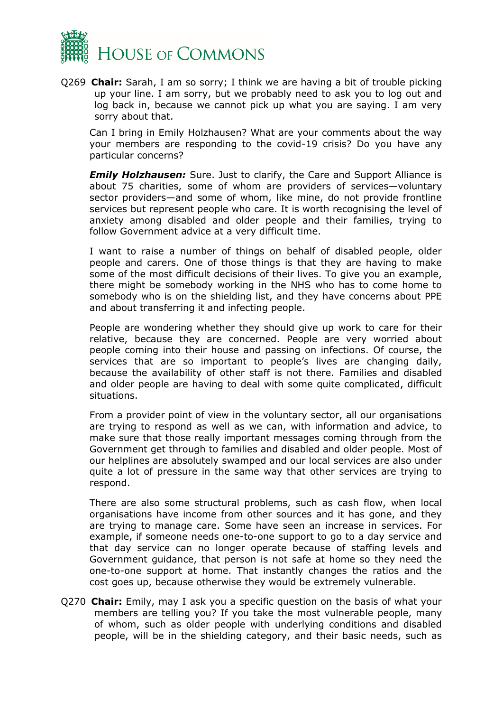

Q269 **Chair:** Sarah, I am so sorry; I think we are having a bit of trouble picking up your line. I am sorry, but we probably need to ask you to log out and log back in, because we cannot pick up what you are saying. I am very sorry about that.

Can I bring in Emily Holzhausen? What are your comments about the way your members are responding to the covid-19 crisis? Do you have any particular concerns?

*Emily Holzhausen:* Sure. Just to clarify, the Care and Support Alliance is about 75 charities, some of whom are providers of services—voluntary sector providers—and some of whom, like mine, do not provide frontline services but represent people who care. It is worth recognising the level of anxiety among disabled and older people and their families, trying to follow Government advice at a very difficult time.

I want to raise a number of things on behalf of disabled people, older people and carers. One of those things is that they are having to make some of the most difficult decisions of their lives. To give you an example, there might be somebody working in the NHS who has to come home to somebody who is on the shielding list, and they have concerns about PPE and about transferring it and infecting people.

People are wondering whether they should give up work to care for their relative, because they are concerned. People are very worried about people coming into their house and passing on infections. Of course, the services that are so important to people's lives are changing daily, because the availability of other staff is not there. Families and disabled and older people are having to deal with some quite complicated, difficult situations.

From a provider point of view in the voluntary sector, all our organisations are trying to respond as well as we can, with information and advice, to make sure that those really important messages coming through from the Government get through to families and disabled and older people. Most of our helplines are absolutely swamped and our local services are also under quite a lot of pressure in the same way that other services are trying to respond.

There are also some structural problems, such as cash flow, when local organisations have income from other sources and it has gone, and they are trying to manage care. Some have seen an increase in services. For example, if someone needs one-to-one support to go to a day service and that day service can no longer operate because of staffing levels and Government guidance, that person is not safe at home so they need the one-to-one support at home. That instantly changes the ratios and the cost goes up, because otherwise they would be extremely vulnerable.

Q270 **Chair:** Emily, may I ask you a specific question on the basis of what your members are telling you? If you take the most vulnerable people, many of whom, such as older people with underlying conditions and disabled people, will be in the shielding category, and their basic needs, such as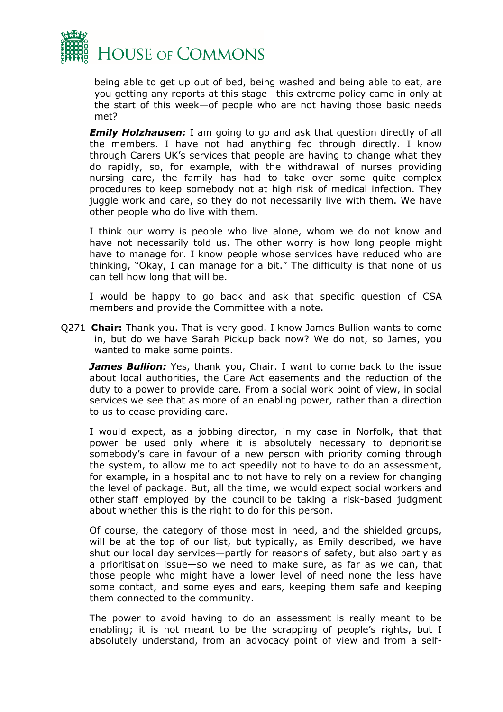

being able to get up out of bed, being washed and being able to eat, are you getting any reports at this stage—this extreme policy came in only at the start of this week—of people who are not having those basic needs met?

*Emily Holzhausen:* I am going to go and ask that question directly of all the members. I have not had anything fed through directly. I know through Carers UK's services that people are having to change what they do rapidly, so, for example, with the withdrawal of nurses providing nursing care, the family has had to take over some quite complex procedures to keep somebody not at high risk of medical infection. They juggle work and care, so they do not necessarily live with them. We have other people who do live with them.

I think our worry is people who live alone, whom we do not know and have not necessarily told us. The other worry is how long people might have to manage for. I know people whose services have reduced who are thinking, "Okay, I can manage for a bit." The difficulty is that none of us can tell how long that will be.

I would be happy to go back and ask that specific question of CSA members and provide the Committee with a note.

Q271 **Chair:** Thank you. That is very good. I know James Bullion wants to come in, but do we have Sarah Pickup back now? We do not, so James, you wanted to make some points.

**James Bullion:** Yes, thank you, Chair. I want to come back to the issue about local authorities, the Care Act easements and the reduction of the duty to a power to provide care. From a social work point of view, in social services we see that as more of an enabling power, rather than a direction to us to cease providing care.

I would expect, as a jobbing director, in my case in Norfolk, that that power be used only where it is absolutely necessary to deprioritise somebody's care in favour of a new person with priority coming through the system, to allow me to act speedily not to have to do an assessment, for example, in a hospital and to not have to rely on a review for changing the level of package. But, all the time, we would expect social workers and other staff employed by the council to be taking a risk-based judgment about whether this is the right to do for this person.

Of course, the category of those most in need, and the shielded groups, will be at the top of our list, but typically, as Emily described, we have shut our local day services—partly for reasons of safety, but also partly as a prioritisation issue—so we need to make sure, as far as we can, that those people who might have a lower level of need none the less have some contact, and some eyes and ears, keeping them safe and keeping them connected to the community.

The power to avoid having to do an assessment is really meant to be enabling; it is not meant to be the scrapping of people's rights, but I absolutely understand, from an advocacy point of view and from a self-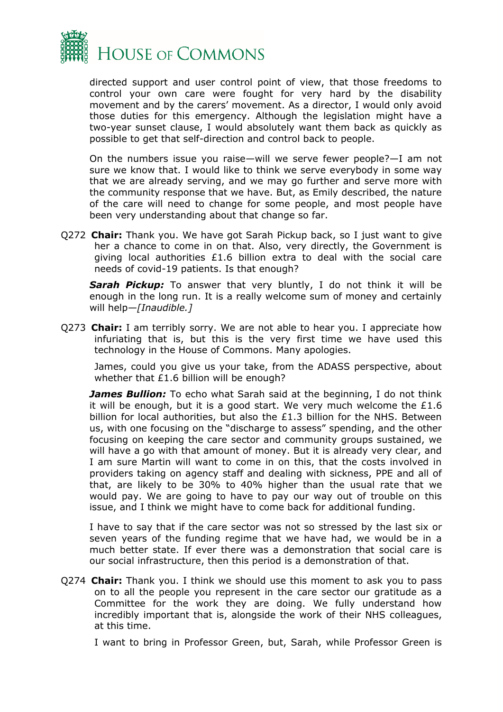

directed support and user control point of view, that those freedoms to control your own care were fought for very hard by the disability movement and by the carers' movement. As a director, I would only avoid those duties for this emergency. Although the legislation might have a two-year sunset clause, I would absolutely want them back as quickly as possible to get that self-direction and control back to people.

On the numbers issue you raise—will we serve fewer people?—I am not sure we know that. I would like to think we serve everybody in some way that we are already serving, and we may go further and serve more with the community response that we have. But, as Emily described, the nature of the care will need to change for some people, and most people have been very understanding about that change so far.

Q272 **Chair:** Thank you. We have got Sarah Pickup back, so I just want to give her a chance to come in on that. Also, very directly, the Government is giving local authorities £1.6 billion extra to deal with the social care needs of covid-19 patients. Is that enough?

**Sarah Pickup:** To answer that very bluntly, I do not think it will be enough in the long run. It is a really welcome sum of money and certainly will help*—[Inaudible.]*

Q273 **Chair:** I am terribly sorry. We are not able to hear you. I appreciate how infuriating that is, but this is the very first time we have used this technology in the House of Commons. Many apologies.

James, could you give us your take, from the ADASS perspective, about whether that £1.6 billion will be enough?

**James Bullion:** To echo what Sarah said at the beginning, I do not think it will be enough, but it is a good start. We very much welcome the  $£1.6$ billion for local authorities, but also the £1.3 billion for the NHS. Between us, with one focusing on the "discharge to assess" spending, and the other focusing on keeping the care sector and community groups sustained, we will have a go with that amount of money. But it is already very clear, and I am sure Martin will want to come in on this, that the costs involved in providers taking on agency staff and dealing with sickness, PPE and all of that, are likely to be 30% to 40% higher than the usual rate that we would pay. We are going to have to pay our way out of trouble on this issue, and I think we might have to come back for additional funding.

I have to say that if the care sector was not so stressed by the last six or seven years of the funding regime that we have had, we would be in a much better state. If ever there was a demonstration that social care is our social infrastructure, then this period is a demonstration of that.

Q274 **Chair:** Thank you. I think we should use this moment to ask you to pass on to all the people you represent in the care sector our gratitude as a Committee for the work they are doing. We fully understand how incredibly important that is, alongside the work of their NHS colleagues, at this time.

I want to bring in Professor Green, but, Sarah, while Professor Green is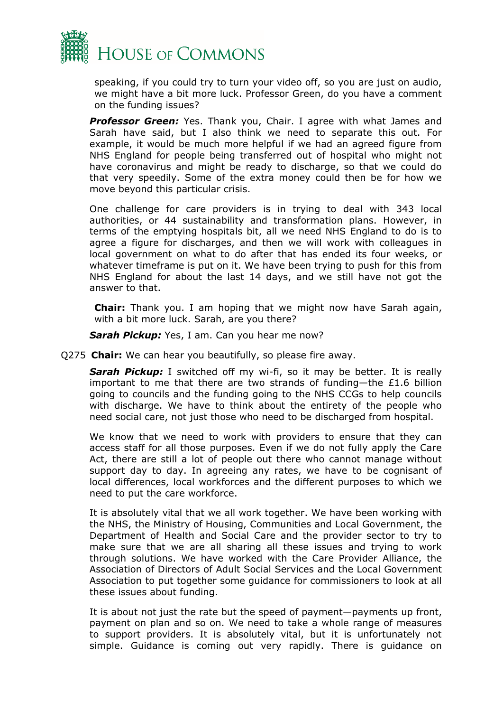

speaking, if you could try to turn your video off, so you are just on audio, we might have a bit more luck. Professor Green, do you have a comment on the funding issues?

**Professor Green:** Yes. Thank you, Chair. I agree with what James and Sarah have said, but I also think we need to separate this out. For example, it would be much more helpful if we had an agreed figure from NHS England for people being transferred out of hospital who might not have coronavirus and might be ready to discharge, so that we could do that very speedily. Some of the extra money could then be for how we move beyond this particular crisis.

One challenge for care providers is in trying to deal with 343 local authorities, or 44 sustainability and transformation plans. However, in terms of the emptying hospitals bit, all we need NHS England to do is to agree a figure for discharges, and then we will work with colleagues in local government on what to do after that has ended its four weeks, or whatever timeframe is put on it. We have been trying to push for this from NHS England for about the last 14 days, and we still have not got the answer to that.

**Chair:** Thank you. I am hoping that we might now have Sarah again, with a bit more luck. Sarah, are you there?

*Sarah Pickup:* Yes, I am. Can you hear me now?

Q275 **Chair:** We can hear you beautifully, so please fire away.

**Sarah Pickup:** I switched off my wi-fi, so it may be better. It is really important to me that there are two strands of funding—the £1.6 billion going to councils and the funding going to the NHS CCGs to help councils with discharge. We have to think about the entirety of the people who need social care, not just those who need to be discharged from hospital.

We know that we need to work with providers to ensure that they can access staff for all those purposes. Even if we do not fully apply the Care Act, there are still a lot of people out there who cannot manage without support day to day. In agreeing any rates, we have to be cognisant of local differences, local workforces and the different purposes to which we need to put the care workforce.

It is absolutely vital that we all work together. We have been working with the NHS, the Ministry of Housing, Communities and Local Government, the Department of Health and Social Care and the provider sector to try to make sure that we are all sharing all these issues and trying to work through solutions. We have worked with the Care Provider Alliance, the Association of Directors of Adult Social Services and the Local Government Association to put together some guidance for commissioners to look at all these issues about funding.

It is about not just the rate but the speed of payment—payments up front, payment on plan and so on. We need to take a whole range of measures to support providers. It is absolutely vital, but it is unfortunately not simple. Guidance is coming out very rapidly. There is guidance on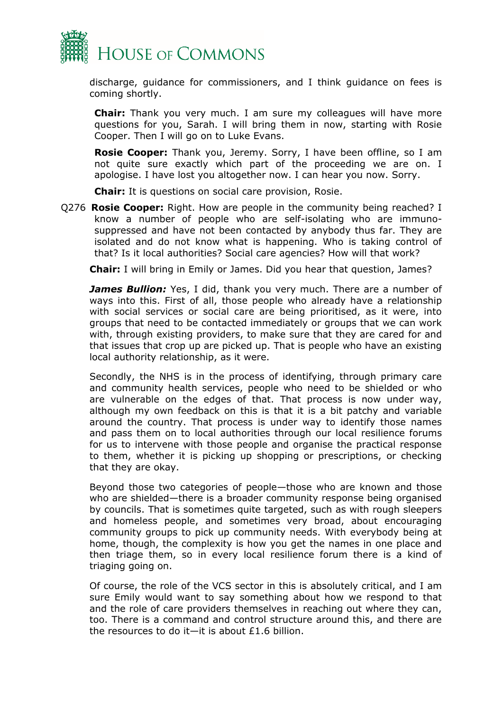

discharge, guidance for commissioners, and I think guidance on fees is coming shortly.

**Chair:** Thank you very much. I am sure my colleagues will have more questions for you, Sarah. I will bring them in now, starting with Rosie Cooper. Then I will go on to Luke Evans.

**Rosie Cooper:** Thank you, Jeremy. Sorry, I have been offline, so I am not quite sure exactly which part of the proceeding we are on. I apologise. I have lost you altogether now. I can hear you now. Sorry.

**Chair:** It is questions on social care provision, Rosie.

Q276 **Rosie Cooper:** Right. How are people in the community being reached? I know a number of people who are self-isolating who are immunosuppressed and have not been contacted by anybody thus far. They are isolated and do not know what is happening. Who is taking control of that? Is it local authorities? Social care agencies? How will that work?

**Chair:** I will bring in Emily or James. Did you hear that question, James?

James Bullion: Yes, I did, thank you very much. There are a number of ways into this. First of all, those people who already have a relationship with social services or social care are being prioritised, as it were, into groups that need to be contacted immediately or groups that we can work with, through existing providers, to make sure that they are cared for and that issues that crop up are picked up. That is people who have an existing local authority relationship, as it were.

Secondly, the NHS is in the process of identifying, through primary care and community health services, people who need to be shielded or who are vulnerable on the edges of that. That process is now under way, although my own feedback on this is that it is a bit patchy and variable around the country. That process is under way to identify those names and pass them on to local authorities through our local resilience forums for us to intervene with those people and organise the practical response to them, whether it is picking up shopping or prescriptions, or checking that they are okay.

Beyond those two categories of people—those who are known and those who are shielded—there is a broader community response being organised by councils. That is sometimes quite targeted, such as with rough sleepers and homeless people, and sometimes very broad, about encouraging community groups to pick up community needs. With everybody being at home, though, the complexity is how you get the names in one place and then triage them, so in every local resilience forum there is a kind of triaging going on.

Of course, the role of the VCS sector in this is absolutely critical, and I am sure Emily would want to say something about how we respond to that and the role of care providers themselves in reaching out where they can, too. There is a command and control structure around this, and there are the resources to do it—it is about £1.6 billion.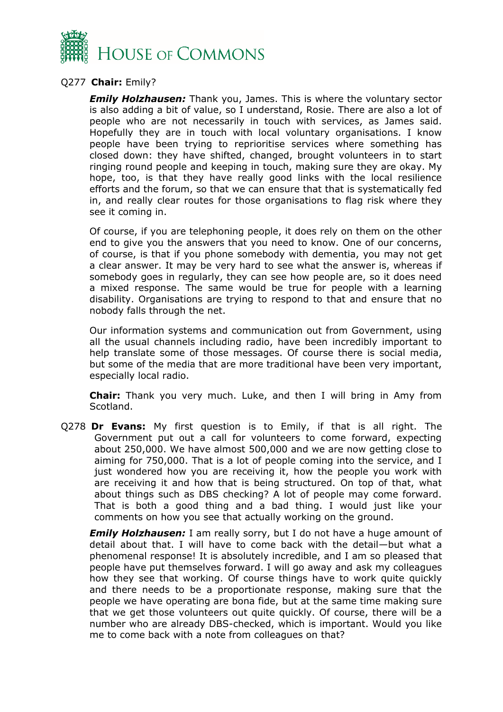

#### Q277 **Chair:** Emily?

*Emily Holzhausen:* Thank you, James. This is where the voluntary sector is also adding a bit of value, so I understand, Rosie. There are also a lot of people who are not necessarily in touch with services, as James said. Hopefully they are in touch with local voluntary organisations. I know people have been trying to reprioritise services where something has closed down: they have shifted, changed, brought volunteers in to start ringing round people and keeping in touch, making sure they are okay. My hope, too, is that they have really good links with the local resilience efforts and the forum, so that we can ensure that that is systematically fed in, and really clear routes for those organisations to flag risk where they see it coming in.

Of course, if you are telephoning people, it does rely on them on the other end to give you the answers that you need to know. One of our concerns, of course, is that if you phone somebody with dementia, you may not get a clear answer. It may be very hard to see what the answer is, whereas if somebody goes in regularly, they can see how people are, so it does need a mixed response. The same would be true for people with a learning disability. Organisations are trying to respond to that and ensure that no nobody falls through the net.

Our information systems and communication out from Government, using all the usual channels including radio, have been incredibly important to help translate some of those messages. Of course there is social media, but some of the media that are more traditional have been very important, especially local radio.

**Chair:** Thank you very much. Luke, and then I will bring in Amy from Scotland.

Q278 **Dr Evans:** My first question is to Emily, if that is all right. The Government put out a call for volunteers to come forward, expecting about 250,000. We have almost 500,000 and we are now getting close to aiming for 750,000. That is a lot of people coming into the service, and I just wondered how you are receiving it, how the people you work with are receiving it and how that is being structured. On top of that, what about things such as DBS checking? A lot of people may come forward. That is both a good thing and a bad thing. I would just like your comments on how you see that actually working on the ground.

**Emily Holzhausen:** I am really sorry, but I do not have a huge amount of detail about that. I will have to come back with the detail—but what a phenomenal response! It is absolutely incredible, and I am so pleased that people have put themselves forward. I will go away and ask my colleagues how they see that working. Of course things have to work quite quickly and there needs to be a proportionate response, making sure that the people we have operating are bona fide, but at the same time making sure that we get those volunteers out quite quickly. Of course, there will be a number who are already DBS-checked, which is important. Would you like me to come back with a note from colleagues on that?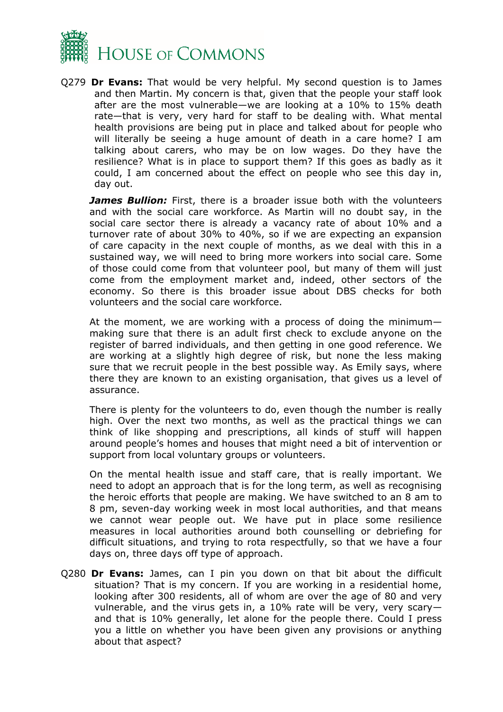

Q279 **Dr Evans:** That would be very helpful. My second question is to James and then Martin. My concern is that, given that the people your staff look after are the most vulnerable—we are looking at a 10% to 15% death rate—that is very, very hard for staff to be dealing with. What mental health provisions are being put in place and talked about for people who will literally be seeing a huge amount of death in a care home? I am talking about carers, who may be on low wages. Do they have the resilience? What is in place to support them? If this goes as badly as it could, I am concerned about the effect on people who see this day in, day out.

**James Bullion:** First, there is a broader issue both with the volunteers and with the social care workforce. As Martin will no doubt say, in the social care sector there is already a vacancy rate of about 10% and a turnover rate of about 30% to 40%, so if we are expecting an expansion of care capacity in the next couple of months, as we deal with this in a sustained way, we will need to bring more workers into social care. Some of those could come from that volunteer pool, but many of them will just come from the employment market and, indeed, other sectors of the economy. So there is this broader issue about DBS checks for both volunteers and the social care workforce.

At the moment, we are working with a process of doing the minimum making sure that there is an adult first check to exclude anyone on the register of barred individuals, and then getting in one good reference. We are working at a slightly high degree of risk, but none the less making sure that we recruit people in the best possible way. As Emily says, where there they are known to an existing organisation, that gives us a level of assurance.

There is plenty for the volunteers to do, even though the number is really high. Over the next two months, as well as the practical things we can think of like shopping and prescriptions, all kinds of stuff will happen around people's homes and houses that might need a bit of intervention or support from local voluntary groups or volunteers.

On the mental health issue and staff care, that is really important. We need to adopt an approach that is for the long term, as well as recognising the heroic efforts that people are making. We have switched to an 8 am to 8 pm, seven-day working week in most local authorities, and that means we cannot wear people out. We have put in place some resilience measures in local authorities around both counselling or debriefing for difficult situations, and trying to rota respectfully, so that we have a four days on, three days off type of approach.

Q280 **Dr Evans:** James, can I pin you down on that bit about the difficult situation? That is my concern. If you are working in a residential home, looking after 300 residents, all of whom are over the age of 80 and very vulnerable, and the virus gets in, a 10% rate will be very, very scary and that is 10% generally, let alone for the people there. Could I press you a little on whether you have been given any provisions or anything about that aspect?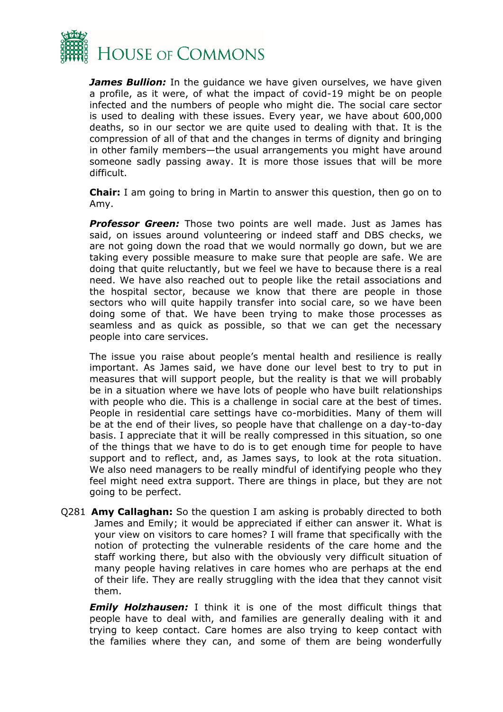

*James Bullion:* In the quidance we have given ourselves, we have given a profile, as it were, of what the impact of covid-19 might be on people infected and the numbers of people who might die. The social care sector is used to dealing with these issues. Every year, we have about 600,000 deaths, so in our sector we are quite used to dealing with that. It is the compression of all of that and the changes in terms of dignity and bringing in other family members—the usual arrangements you might have around someone sadly passing away. It is more those issues that will be more difficult.

**Chair:** I am going to bring in Martin to answer this question, then go on to Amy.

**Professor Green:** Those two points are well made. Just as James has said, on issues around volunteering or indeed staff and DBS checks, we are not going down the road that we would normally go down, but we are taking every possible measure to make sure that people are safe. We are doing that quite reluctantly, but we feel we have to because there is a real need. We have also reached out to people like the retail associations and the hospital sector, because we know that there are people in those sectors who will quite happily transfer into social care, so we have been doing some of that. We have been trying to make those processes as seamless and as quick as possible, so that we can get the necessary people into care services.

The issue you raise about people's mental health and resilience is really important. As James said, we have done our level best to try to put in measures that will support people, but the reality is that we will probably be in a situation where we have lots of people who have built relationships with people who die. This is a challenge in social care at the best of times. People in residential care settings have co-morbidities. Many of them will be at the end of their lives, so people have that challenge on a day-to-day basis. I appreciate that it will be really compressed in this situation, so one of the things that we have to do is to get enough time for people to have support and to reflect, and, as James says, to look at the rota situation. We also need managers to be really mindful of identifying people who they feel might need extra support. There are things in place, but they are not going to be perfect.

Q281 **Amy Callaghan:** So the question I am asking is probably directed to both James and Emily; it would be appreciated if either can answer it. What is your view on visitors to care homes? I will frame that specifically with the notion of protecting the vulnerable residents of the care home and the staff working there, but also with the obviously very difficult situation of many people having relatives in care homes who are perhaps at the end of their life. They are really struggling with the idea that they cannot visit them.

*Emily Holzhausen:* I think it is one of the most difficult things that people have to deal with, and families are generally dealing with it and trying to keep contact. Care homes are also trying to keep contact with the families where they can, and some of them are being wonderfully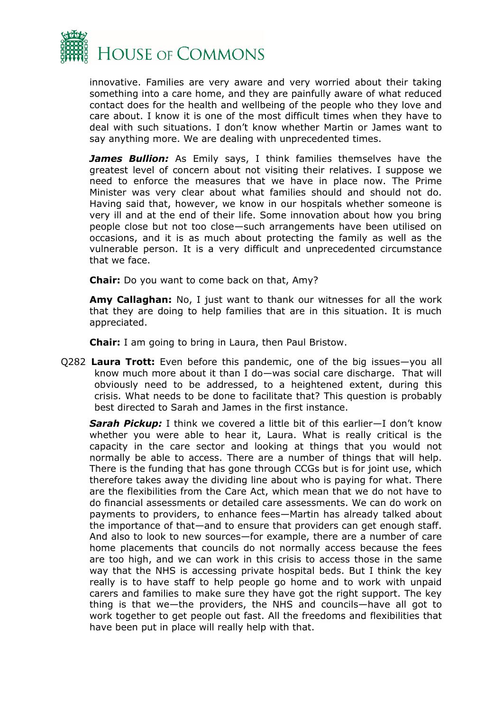

innovative. Families are very aware and very worried about their taking something into a care home, and they are painfully aware of what reduced contact does for the health and wellbeing of the people who they love and care about. I know it is one of the most difficult times when they have to deal with such situations. I don't know whether Martin or James want to say anything more. We are dealing with unprecedented times.

*James Bullion:* As Emily says, I think families themselves have the greatest level of concern about not visiting their relatives. I suppose we need to enforce the measures that we have in place now. The Prime Minister was very clear about what families should and should not do. Having said that, however, we know in our hospitals whether someone is very ill and at the end of their life. Some innovation about how you bring people close but not too close—such arrangements have been utilised on occasions, and it is as much about protecting the family as well as the vulnerable person. It is a very difficult and unprecedented circumstance that we face.

**Chair:** Do you want to come back on that, Amy?

**Amy Callaghan:** No, I just want to thank our witnesses for all the work that they are doing to help families that are in this situation. It is much appreciated.

**Chair:** I am going to bring in Laura, then Paul Bristow.

Q282 **Laura Trott:** Even before this pandemic, one of the big issues—you all know much more about it than I do—was social care discharge. That will obviously need to be addressed, to a heightened extent, during this crisis. What needs to be done to facilitate that? This question is probably best directed to Sarah and James in the first instance.

*Sarah Pickup:* I think we covered a little bit of this earlier—I don't know whether you were able to hear it, Laura. What is really critical is the capacity in the care sector and looking at things that you would not normally be able to access. There are a number of things that will help. There is the funding that has gone through CCGs but is for joint use, which therefore takes away the dividing line about who is paying for what. There are the flexibilities from the Care Act, which mean that we do not have to do financial assessments or detailed care assessments. We can do work on payments to providers, to enhance fees—Martin has already talked about the importance of that—and to ensure that providers can get enough staff. And also to look to new sources—for example, there are a number of care home placements that councils do not normally access because the fees are too high, and we can work in this crisis to access those in the same way that the NHS is accessing private hospital beds. But I think the key really is to have staff to help people go home and to work with unpaid carers and families to make sure they have got the right support. The key thing is that we—the providers, the NHS and councils—have all got to work together to get people out fast. All the freedoms and flexibilities that have been put in place will really help with that.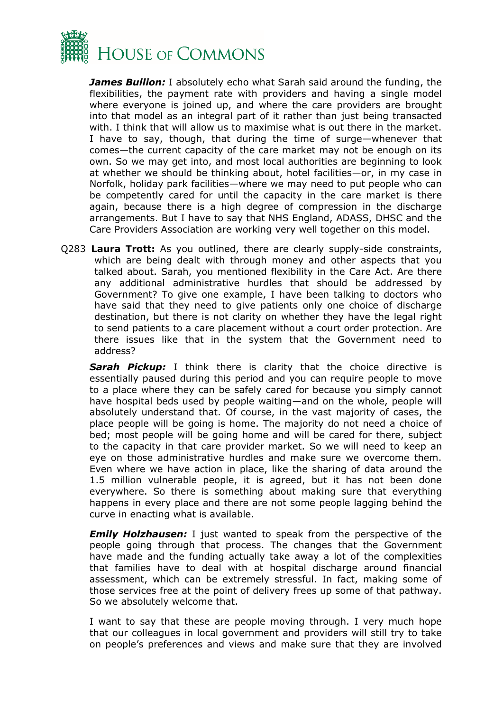

*James Bullion:* I absolutely echo what Sarah said around the funding, the flexibilities, the payment rate with providers and having a single model where everyone is joined up, and where the care providers are brought into that model as an integral part of it rather than just being transacted with. I think that will allow us to maximise what is out there in the market. I have to say, though, that during the time of surge—whenever that comes—the current capacity of the care market may not be enough on its own. So we may get into, and most local authorities are beginning to look at whether we should be thinking about, hotel facilities—or, in my case in Norfolk, holiday park facilities—where we may need to put people who can be competently cared for until the capacity in the care market is there again, because there is a high degree of compression in the discharge arrangements. But I have to say that NHS England, ADASS, DHSC and the Care Providers Association are working very well together on this model.

Q283 **Laura Trott:** As you outlined, there are clearly supply-side constraints, which are being dealt with through money and other aspects that you talked about. Sarah, you mentioned flexibility in the Care Act. Are there any additional administrative hurdles that should be addressed by Government? To give one example, I have been talking to doctors who have said that they need to give patients only one choice of discharge destination, but there is not clarity on whether they have the legal right to send patients to a care placement without a court order protection. Are there issues like that in the system that the Government need to address?

*Sarah Pickup:* I think there is clarity that the choice directive is essentially paused during this period and you can require people to move to a place where they can be safely cared for because you simply cannot have hospital beds used by people waiting—and on the whole, people will absolutely understand that. Of course, in the vast majority of cases, the place people will be going is home. The majority do not need a choice of bed; most people will be going home and will be cared for there, subject to the capacity in that care provider market. So we will need to keep an eye on those administrative hurdles and make sure we overcome them. Even where we have action in place, like the sharing of data around the 1.5 million vulnerable people, it is agreed, but it has not been done everywhere. So there is something about making sure that everything happens in every place and there are not some people lagging behind the curve in enacting what is available.

*Emily Holzhausen:* I just wanted to speak from the perspective of the people going through that process. The changes that the Government have made and the funding actually take away a lot of the complexities that families have to deal with at hospital discharge around financial assessment, which can be extremely stressful. In fact, making some of those services free at the point of delivery frees up some of that pathway. So we absolutely welcome that.

I want to say that these are people moving through. I very much hope that our colleagues in local government and providers will still try to take on people's preferences and views and make sure that they are involved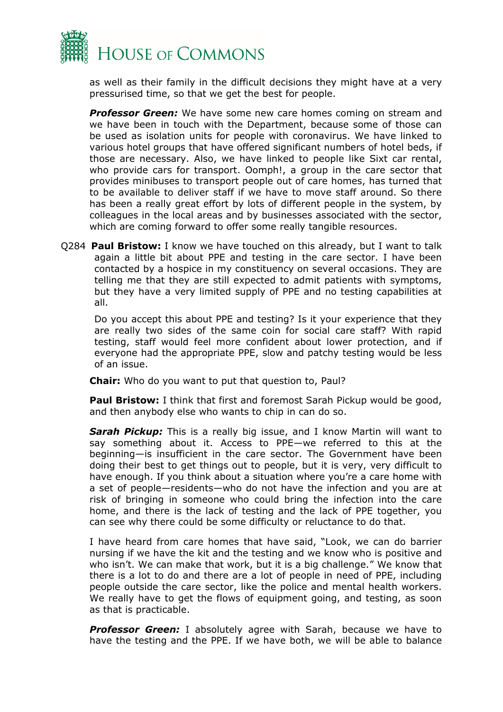

as well as their family in the difficult decisions they might have at a very pressurised time, so that we get the best for people.

*Professor Green:* We have some new care homes coming on stream and we have been in touch with the Department, because some of those can be used as isolation units for people with coronavirus. We have linked to various hotel groups that have offered significant numbers of hotel beds, if those are necessary. Also, we have linked to people like Sixt car rental, who provide cars for transport. Oomph!, a group in the care sector that provides minibuses to transport people out of care homes, has turned that to be available to deliver staff if we have to move staff around. So there has been a really great effort by lots of different people in the system, by colleagues in the local areas and by businesses associated with the sector, which are coming forward to offer some really tangible resources.

Q284 **Paul Bristow:** I know we have touched on this already, but I want to talk again a little bit about PPE and testing in the care sector. I have been contacted by a hospice in my constituency on several occasions. They are telling me that they are still expected to admit patients with symptoms, but they have a very limited supply of PPE and no testing capabilities at all.

Do you accept this about PPE and testing? Is it your experience that they are really two sides of the same coin for social care staff? With rapid testing, staff would feel more confident about lower protection, and if everyone had the appropriate PPE, slow and patchy testing would be less of an issue.

**Chair:** Who do you want to put that question to, Paul?

**Paul Bristow:** I think that first and foremost Sarah Pickup would be good, and then anybody else who wants to chip in can do so.

**Sarah Pickup:** This is a really big issue, and I know Martin will want to say something about it. Access to PPE—we referred to this at the beginning—is insufficient in the care sector. The Government have been doing their best to get things out to people, but it is very, very difficult to have enough. If you think about a situation where you're a care home with a set of people—residents—who do not have the infection and you are at risk of bringing in someone who could bring the infection into the care home, and there is the lack of testing and the lack of PPE together, you can see why there could be some difficulty or reluctance to do that.

I have heard from care homes that have said, "Look, we can do barrier nursing if we have the kit and the testing and we know who is positive and who isn't. We can make that work, but it is a big challenge." We know that there is a lot to do and there are a lot of people in need of PPE, including people outside the care sector, like the police and mental health workers. We really have to get the flows of equipment going, and testing, as soon as that is practicable.

**Professor Green:** I absolutely agree with Sarah, because we have to have the testing and the PPE. If we have both, we will be able to balance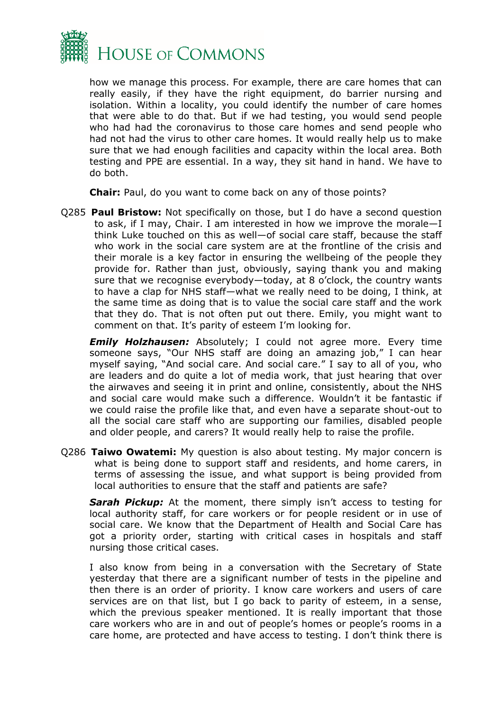

how we manage this process. For example, there are care homes that can really easily, if they have the right equipment, do barrier nursing and isolation. Within a locality, you could identify the number of care homes that were able to do that. But if we had testing, you would send people who had had the coronavirus to those care homes and send people who had not had the virus to other care homes. It would really help us to make sure that we had enough facilities and capacity within the local area. Both testing and PPE are essential. In a way, they sit hand in hand. We have to do both.

**Chair:** Paul, do you want to come back on any of those points?

Q285 **Paul Bristow:** Not specifically on those, but I do have a second question to ask, if I may, Chair. I am interested in how we improve the morale—I think Luke touched on this as well—of social care staff, because the staff who work in the social care system are at the frontline of the crisis and their morale is a key factor in ensuring the wellbeing of the people they provide for. Rather than just, obviously, saying thank you and making sure that we recognise everybody—today, at 8 o'clock, the country wants to have a clap for NHS staff—what we really need to be doing, I think, at the same time as doing that is to value the social care staff and the work that they do. That is not often put out there. Emily, you might want to comment on that. It's parity of esteem I'm looking for.

**Emily Holzhausen:** Absolutely; I could not agree more. Every time someone says, "Our NHS staff are doing an amazing job," I can hear myself saying, "And social care. And social care." I say to all of you, who are leaders and do quite a lot of media work, that just hearing that over the airwaves and seeing it in print and online, consistently, about the NHS and social care would make such a difference. Wouldn't it be fantastic if we could raise the profile like that, and even have a separate shout-out to all the social care staff who are supporting our families, disabled people and older people, and carers? It would really help to raise the profile.

Q286 **Taiwo Owatemi:** My question is also about testing. My major concern is what is being done to support staff and residents, and home carers, in terms of assessing the issue, and what support is being provided from local authorities to ensure that the staff and patients are safe?

**Sarah Pickup:** At the moment, there simply isn't access to testing for local authority staff, for care workers or for people resident or in use of social care. We know that the Department of Health and Social Care has got a priority order, starting with critical cases in hospitals and staff nursing those critical cases.

I also know from being in a conversation with the Secretary of State yesterday that there are a significant number of tests in the pipeline and then there is an order of priority. I know care workers and users of care services are on that list, but I go back to parity of esteem, in a sense, which the previous speaker mentioned. It is really important that those care workers who are in and out of people's homes or people's rooms in a care home, are protected and have access to testing. I don't think there is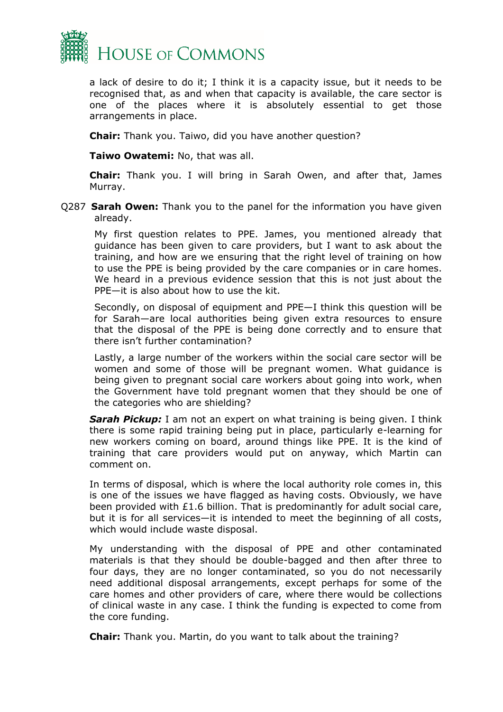

a lack of desire to do it; I think it is a capacity issue, but it needs to be recognised that, as and when that capacity is available, the care sector is one of the places where it is absolutely essential to get those arrangements in place.

**Chair:** Thank you. Taiwo, did you have another question?

**Taiwo Owatemi:** No, that was all.

**Chair:** Thank you. I will bring in Sarah Owen, and after that, James Murray.

Q287 **Sarah Owen:** Thank you to the panel for the information you have given already.

My first question relates to PPE. James, you mentioned already that guidance has been given to care providers, but I want to ask about the training, and how are we ensuring that the right level of training on how to use the PPE is being provided by the care companies or in care homes. We heard in a previous evidence session that this is not just about the PPE—it is also about how to use the kit.

Secondly, on disposal of equipment and PPE—I think this question will be for Sarah—are local authorities being given extra resources to ensure that the disposal of the PPE is being done correctly and to ensure that there isn't further contamination?

Lastly, a large number of the workers within the social care sector will be women and some of those will be pregnant women. What guidance is being given to pregnant social care workers about going into work, when the Government have told pregnant women that they should be one of the categories who are shielding?

**Sarah Pickup:** I am not an expert on what training is being given. I think there is some rapid training being put in place, particularly e-learning for new workers coming on board, around things like PPE. It is the kind of training that care providers would put on anyway, which Martin can comment on.

In terms of disposal, which is where the local authority role comes in, this is one of the issues we have flagged as having costs. Obviously, we have been provided with £1.6 billion. That is predominantly for adult social care, but it is for all services—it is intended to meet the beginning of all costs, which would include waste disposal.

My understanding with the disposal of PPE and other contaminated materials is that they should be double-bagged and then after three to four days, they are no longer contaminated, so you do not necessarily need additional disposal arrangements, except perhaps for some of the care homes and other providers of care, where there would be collections of clinical waste in any case. I think the funding is expected to come from the core funding.

**Chair:** Thank you. Martin, do you want to talk about the training?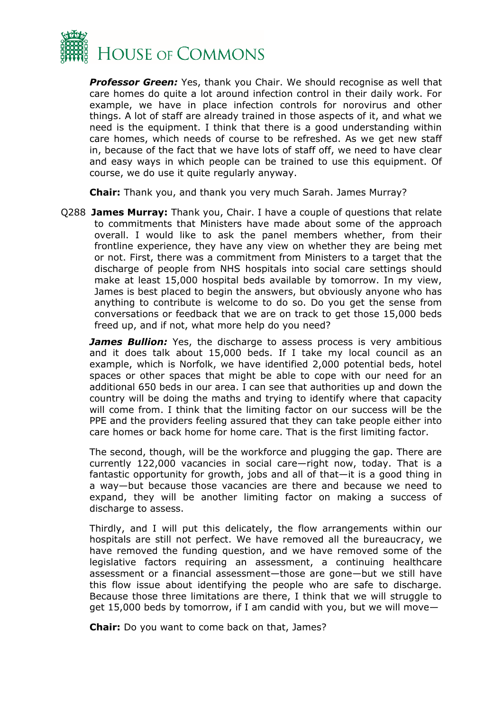

*Professor Green:* Yes, thank you Chair. We should recognise as well that care homes do quite a lot around infection control in their daily work. For example, we have in place infection controls for norovirus and other things. A lot of staff are already trained in those aspects of it, and what we need is the equipment. I think that there is a good understanding within care homes, which needs of course to be refreshed. As we get new staff in, because of the fact that we have lots of staff off, we need to have clear and easy ways in which people can be trained to use this equipment. Of course, we do use it quite regularly anyway.

**Chair:** Thank you, and thank you very much Sarah. James Murray?

Q288 **James Murray:** Thank you, Chair. I have a couple of questions that relate to commitments that Ministers have made about some of the approach overall. I would like to ask the panel members whether, from their frontline experience, they have any view on whether they are being met or not. First, there was a commitment from Ministers to a target that the discharge of people from NHS hospitals into social care settings should make at least 15,000 hospital beds available by tomorrow. In my view, James is best placed to begin the answers, but obviously anyone who has anything to contribute is welcome to do so. Do you get the sense from conversations or feedback that we are on track to get those 15,000 beds freed up, and if not, what more help do you need?

*James Bullion:* Yes, the discharge to assess process is very ambitious and it does talk about 15,000 beds. If I take my local council as an example, which is Norfolk, we have identified 2,000 potential beds, hotel spaces or other spaces that might be able to cope with our need for an additional 650 beds in our area. I can see that authorities up and down the country will be doing the maths and trying to identify where that capacity will come from. I think that the limiting factor on our success will be the PPE and the providers feeling assured that they can take people either into care homes or back home for home care. That is the first limiting factor.

The second, though, will be the workforce and plugging the gap. There are currently 122,000 vacancies in social care—right now, today. That is a fantastic opportunity for growth, jobs and all of that—it is a good thing in a way—but because those vacancies are there and because we need to expand, they will be another limiting factor on making a success of discharge to assess.

Thirdly, and I will put this delicately, the flow arrangements within our hospitals are still not perfect. We have removed all the bureaucracy, we have removed the funding question, and we have removed some of the legislative factors requiring an assessment, a continuing healthcare assessment or a financial assessment—those are gone—but we still have this flow issue about identifying the people who are safe to discharge. Because those three limitations are there, I think that we will struggle to get 15,000 beds by tomorrow, if I am candid with you, but we will move—

**Chair:** Do you want to come back on that, James?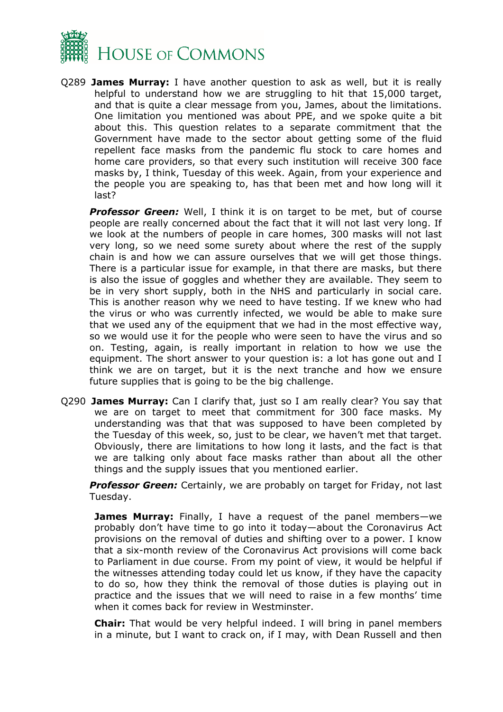

Q289 **James Murray:** I have another question to ask as well, but it is really helpful to understand how we are struggling to hit that 15,000 target, and that is quite a clear message from you, James, about the limitations. One limitation you mentioned was about PPE, and we spoke quite a bit about this. This question relates to a separate commitment that the Government have made to the sector about getting some of the fluid repellent face masks from the pandemic flu stock to care homes and home care providers, so that every such institution will receive 300 face masks by, I think, Tuesday of this week. Again, from your experience and the people you are speaking to, has that been met and how long will it last?

*Professor Green:* Well, I think it is on target to be met, but of course people are really concerned about the fact that it will not last very long. If we look at the numbers of people in care homes, 300 masks will not last very long, so we need some surety about where the rest of the supply chain is and how we can assure ourselves that we will get those things. There is a particular issue for example, in that there are masks, but there is also the issue of goggles and whether they are available. They seem to be in very short supply, both in the NHS and particularly in social care. This is another reason why we need to have testing. If we knew who had the virus or who was currently infected, we would be able to make sure that we used any of the equipment that we had in the most effective way, so we would use it for the people who were seen to have the virus and so on. Testing, again, is really important in relation to how we use the equipment. The short answer to your question is: a lot has gone out and I think we are on target, but it is the next tranche and how we ensure future supplies that is going to be the big challenge.

Q290 **James Murray:** Can I clarify that, just so I am really clear? You say that we are on target to meet that commitment for 300 face masks. My understanding was that that was supposed to have been completed by the Tuesday of this week, so, just to be clear, we haven't met that target. Obviously, there are limitations to how long it lasts, and the fact is that we are talking only about face masks rather than about all the other things and the supply issues that you mentioned earlier.

*Professor Green:* Certainly, we are probably on target for Friday, not last Tuesday.

**James Murray:** Finally, I have a request of the panel members—we probably don't have time to go into it today—about the Coronavirus Act provisions on the removal of duties and shifting over to a power. I know that a six-month review of the Coronavirus Act provisions will come back to Parliament in due course. From my point of view, it would be helpful if the witnesses attending today could let us know, if they have the capacity to do so, how they think the removal of those duties is playing out in practice and the issues that we will need to raise in a few months' time when it comes back for review in Westminster.

**Chair:** That would be very helpful indeed. I will bring in panel members in a minute, but I want to crack on, if I may, with Dean Russell and then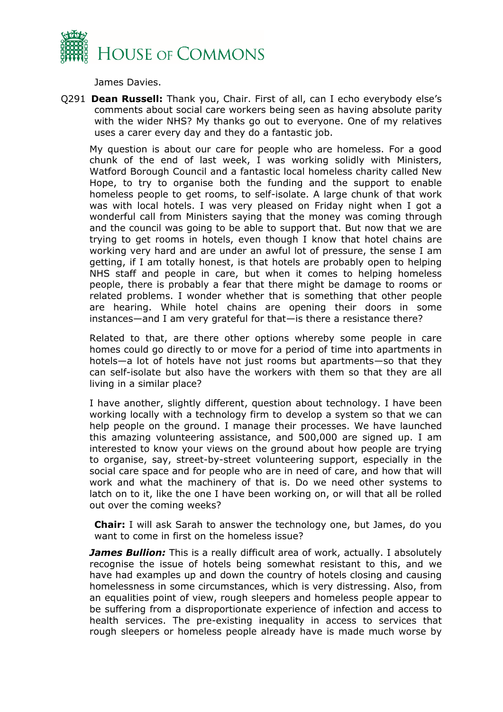

James Davies.

Q291 **Dean Russell:** Thank you, Chair. First of all, can I echo everybody else's comments about social care workers being seen as having absolute parity with the wider NHS? My thanks go out to everyone. One of my relatives uses a carer every day and they do a fantastic job.

My question is about our care for people who are homeless. For a good chunk of the end of last week, I was working solidly with Ministers, Watford Borough Council and a fantastic local homeless charity called New Hope, to try to organise both the funding and the support to enable homeless people to get rooms, to self-isolate. A large chunk of that work was with local hotels. I was very pleased on Friday night when I got a wonderful call from Ministers saying that the money was coming through and the council was going to be able to support that. But now that we are trying to get rooms in hotels, even though I know that hotel chains are working very hard and are under an awful lot of pressure, the sense I am getting, if I am totally honest, is that hotels are probably open to helping NHS staff and people in care, but when it comes to helping homeless people, there is probably a fear that there might be damage to rooms or related problems. I wonder whether that is something that other people are hearing. While hotel chains are opening their doors in some instances—and I am very grateful for that—is there a resistance there?

Related to that, are there other options whereby some people in care homes could go directly to or move for a period of time into apartments in hotels—a lot of hotels have not just rooms but apartments—so that they can self-isolate but also have the workers with them so that they are all living in a similar place?

I have another, slightly different, question about technology. I have been working locally with a technology firm to develop a system so that we can help people on the ground. I manage their processes. We have launched this amazing volunteering assistance, and 500,000 are signed up. I am interested to know your views on the ground about how people are trying to organise, say, street-by-street volunteering support, especially in the social care space and for people who are in need of care, and how that will work and what the machinery of that is. Do we need other systems to latch on to it, like the one I have been working on, or will that all be rolled out over the coming weeks?

**Chair:** I will ask Sarah to answer the technology one, but James, do you want to come in first on the homeless issue?

*James Bullion:* This is a really difficult area of work, actually. I absolutely recognise the issue of hotels being somewhat resistant to this, and we have had examples up and down the country of hotels closing and causing homelessness in some circumstances, which is very distressing. Also, from an equalities point of view, rough sleepers and homeless people appear to be suffering from a disproportionate experience of infection and access to health services. The pre-existing inequality in access to services that rough sleepers or homeless people already have is made much worse by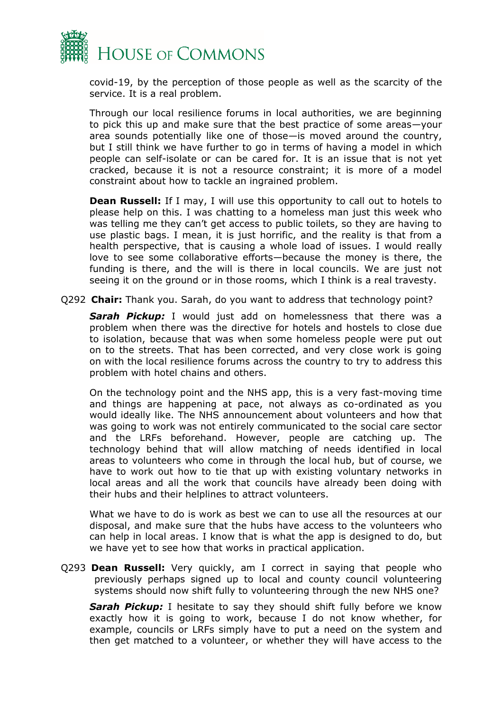

covid-19, by the perception of those people as well as the scarcity of the service. It is a real problem.

Through our local resilience forums in local authorities, we are beginning to pick this up and make sure that the best practice of some areas—your area sounds potentially like one of those—is moved around the country, but I still think we have further to go in terms of having a model in which people can self-isolate or can be cared for. It is an issue that is not yet cracked, because it is not a resource constraint; it is more of a model constraint about how to tackle an ingrained problem.

**Dean Russell:** If I may, I will use this opportunity to call out to hotels to please help on this. I was chatting to a homeless man just this week who was telling me they can't get access to public toilets, so they are having to use plastic bags. I mean, it is just horrific, and the reality is that from a health perspective, that is causing a whole load of issues. I would really love to see some collaborative efforts—because the money is there, the funding is there, and the will is there in local councils. We are just not seeing it on the ground or in those rooms, which I think is a real travesty.

Q292 **Chair:** Thank you. Sarah, do you want to address that technology point?

**Sarah Pickup:** I would just add on homelessness that there was a problem when there was the directive for hotels and hostels to close due to isolation, because that was when some homeless people were put out on to the streets. That has been corrected, and very close work is going on with the local resilience forums across the country to try to address this problem with hotel chains and others.

On the technology point and the NHS app, this is a very fast-moving time and things are happening at pace, not always as co-ordinated as you would ideally like. The NHS announcement about volunteers and how that was going to work was not entirely communicated to the social care sector and the LRFs beforehand. However, people are catching up. The technology behind that will allow matching of needs identified in local areas to volunteers who come in through the local hub, but of course, we have to work out how to tie that up with existing voluntary networks in local areas and all the work that councils have already been doing with their hubs and their helplines to attract volunteers.

What we have to do is work as best we can to use all the resources at our disposal, and make sure that the hubs have access to the volunteers who can help in local areas. I know that is what the app is designed to do, but we have yet to see how that works in practical application.

Q293 **Dean Russell:** Very quickly, am I correct in saying that people who previously perhaps signed up to local and county council volunteering systems should now shift fully to volunteering through the new NHS one?

*Sarah Pickup:* I hesitate to say they should shift fully before we know exactly how it is going to work, because I do not know whether, for example, councils or LRFs simply have to put a need on the system and then get matched to a volunteer, or whether they will have access to the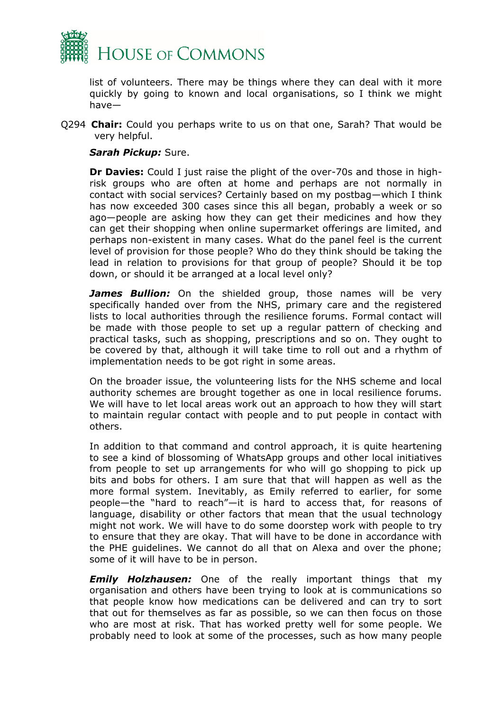

list of volunteers. There may be things where they can deal with it more quickly by going to known and local organisations, so I think we might have—

Q294 **Chair:** Could you perhaps write to us on that one, Sarah? That would be very helpful.

#### *Sarah Pickup:* Sure.

**Dr Davies:** Could I just raise the plight of the over-70s and those in highrisk groups who are often at home and perhaps are not normally in contact with social services? Certainly based on my postbag—which I think has now exceeded 300 cases since this all began, probably a week or so ago—people are asking how they can get their medicines and how they can get their shopping when online supermarket offerings are limited, and perhaps non-existent in many cases. What do the panel feel is the current level of provision for those people? Who do they think should be taking the lead in relation to provisions for that group of people? Should it be top down, or should it be arranged at a local level only?

James Bullion: On the shielded group, those names will be very specifically handed over from the NHS, primary care and the registered lists to local authorities through the resilience forums. Formal contact will be made with those people to set up a regular pattern of checking and practical tasks, such as shopping, prescriptions and so on. They ought to be covered by that, although it will take time to roll out and a rhythm of implementation needs to be got right in some areas.

On the broader issue, the volunteering lists for the NHS scheme and local authority schemes are brought together as one in local resilience forums. We will have to let local areas work out an approach to how they will start to maintain regular contact with people and to put people in contact with others.

In addition to that command and control approach, it is quite heartening to see a kind of blossoming of WhatsApp groups and other local initiatives from people to set up arrangements for who will go shopping to pick up bits and bobs for others. I am sure that that will happen as well as the more formal system. Inevitably, as Emily referred to earlier, for some people—the "hard to reach"—it is hard to access that, for reasons of language, disability or other factors that mean that the usual technology might not work. We will have to do some doorstep work with people to try to ensure that they are okay. That will have to be done in accordance with the PHE guidelines. We cannot do all that on Alexa and over the phone; some of it will have to be in person.

**Emily Holzhausen:** One of the really important things that my organisation and others have been trying to look at is communications so that people know how medications can be delivered and can try to sort that out for themselves as far as possible, so we can then focus on those who are most at risk. That has worked pretty well for some people. We probably need to look at some of the processes, such as how many people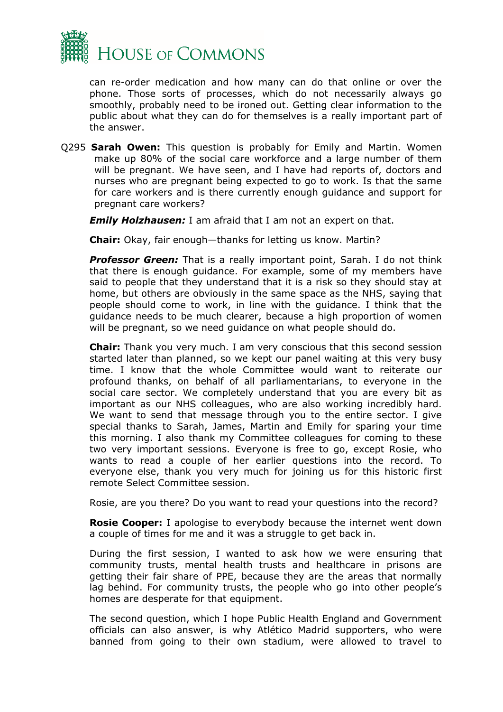

can re-order medication and how many can do that online or over the phone. Those sorts of processes, which do not necessarily always go smoothly, probably need to be ironed out. Getting clear information to the public about what they can do for themselves is a really important part of the answer.

Q295 **Sarah Owen:** This question is probably for Emily and Martin. Women make up 80% of the social care workforce and a large number of them will be pregnant. We have seen, and I have had reports of, doctors and nurses who are pregnant being expected to go to work. Is that the same for care workers and is there currently enough guidance and support for pregnant care workers?

*Emily Holzhausen:* I am afraid that I am not an expert on that.

**Chair:** Okay, fair enough—thanks for letting us know. Martin?

**Professor Green:** That is a really important point, Sarah. I do not think that there is enough guidance. For example, some of my members have said to people that they understand that it is a risk so they should stay at home, but others are obviously in the same space as the NHS, saying that people should come to work, in line with the guidance. I think that the guidance needs to be much clearer, because a high proportion of women will be pregnant, so we need guidance on what people should do.

**Chair:** Thank you very much. I am very conscious that this second session started later than planned, so we kept our panel waiting at this very busy time. I know that the whole Committee would want to reiterate our profound thanks, on behalf of all parliamentarians, to everyone in the social care sector. We completely understand that you are every bit as important as our NHS colleagues, who are also working incredibly hard. We want to send that message through you to the entire sector. I give special thanks to Sarah, James, Martin and Emily for sparing your time this morning. I also thank my Committee colleagues for coming to these two very important sessions. Everyone is free to go, except Rosie, who wants to read a couple of her earlier questions into the record. To everyone else, thank you very much for joining us for this historic first remote Select Committee session.

Rosie, are you there? Do you want to read your questions into the record?

**Rosie Cooper:** I apologise to everybody because the internet went down a couple of times for me and it was a struggle to get back in.

During the first session, I wanted to ask how we were ensuring that community trusts, mental health trusts and healthcare in prisons are getting their fair share of PPE, because they are the areas that normally lag behind. For community trusts, the people who go into other people's homes are desperate for that equipment.

The second question, which I hope Public Health England and Government officials can also answer, is why Atlético Madrid supporters, who were banned from going to their own stadium, were allowed to travel to